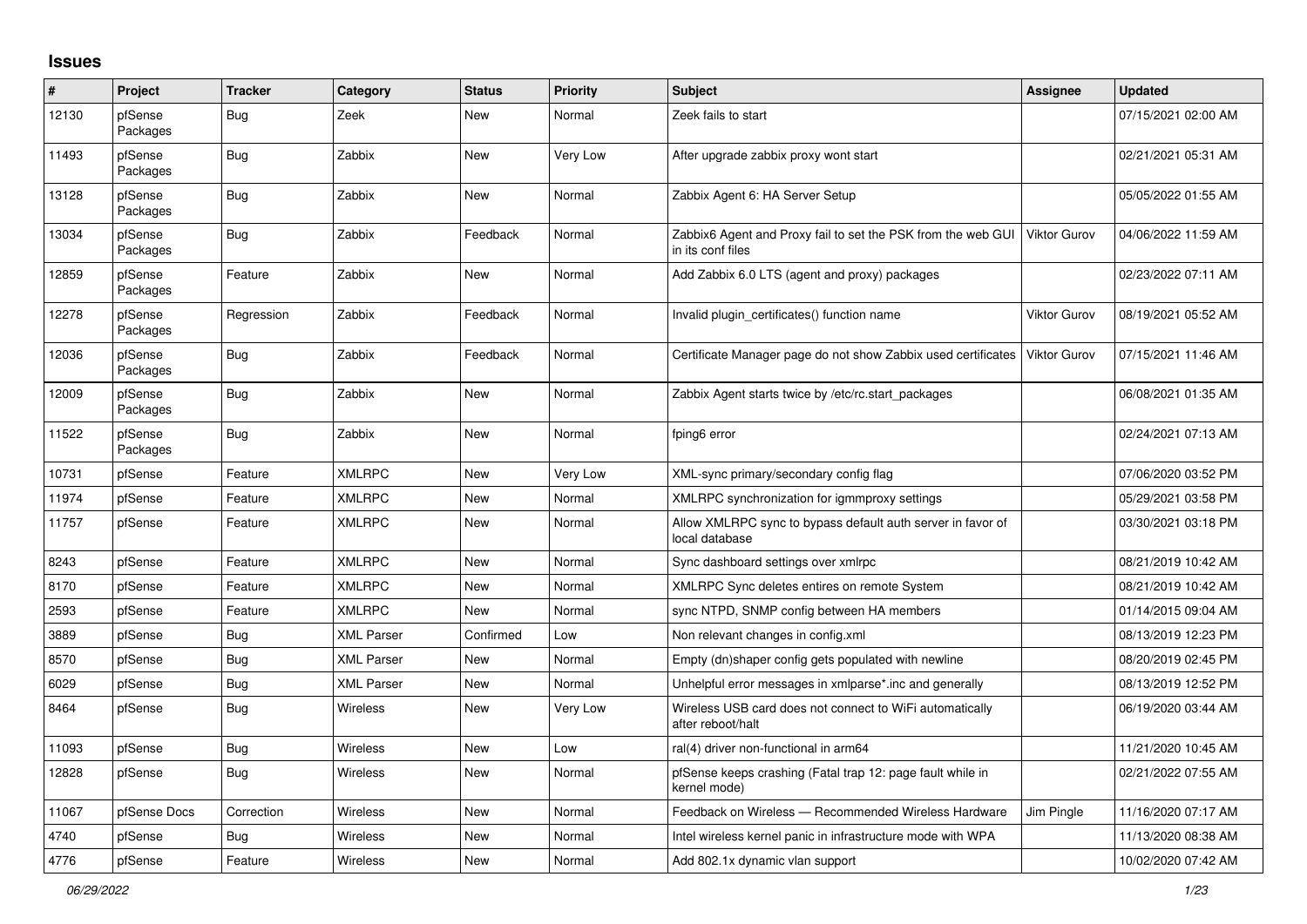## **Issues**

| $\#$  | Project             | <b>Tracker</b> | Category          | <b>Status</b> | <b>Priority</b> | <b>Subject</b>                                                                    | Assignee            | <b>Updated</b>      |
|-------|---------------------|----------------|-------------------|---------------|-----------------|-----------------------------------------------------------------------------------|---------------------|---------------------|
| 12130 | pfSense<br>Packages | Bug            | Zeek              | New           | Normal          | Zeek fails to start                                                               |                     | 07/15/2021 02:00 AM |
| 11493 | pfSense<br>Packages | <b>Bug</b>     | Zabbix            | New           | Very Low        | After upgrade zabbix proxy wont start                                             |                     | 02/21/2021 05:31 AM |
| 13128 | pfSense<br>Packages | Bug            | Zabbix            | New           | Normal          | Zabbix Agent 6: HA Server Setup                                                   |                     | 05/05/2022 01:55 AM |
| 13034 | pfSense<br>Packages | Bug            | Zabbix            | Feedback      | Normal          | Zabbix6 Agent and Proxy fail to set the PSK from the web GUI<br>in its conf files | <b>Viktor Gurov</b> | 04/06/2022 11:59 AM |
| 12859 | pfSense<br>Packages | Feature        | Zabbix            | New           | Normal          | Add Zabbix 6.0 LTS (agent and proxy) packages                                     |                     | 02/23/2022 07:11 AM |
| 12278 | pfSense<br>Packages | Regression     | Zabbix            | Feedback      | Normal          | Invalid plugin_certificates() function name                                       | Viktor Gurov        | 08/19/2021 05:52 AM |
| 12036 | pfSense<br>Packages | <b>Bug</b>     | Zabbix            | Feedback      | Normal          | Certificate Manager page do not show Zabbix used certificates                     | Viktor Gurov        | 07/15/2021 11:46 AM |
| 12009 | pfSense<br>Packages | Bug            | Zabbix            | New           | Normal          | Zabbix Agent starts twice by /etc/rc.start packages                               |                     | 06/08/2021 01:35 AM |
| 11522 | pfSense<br>Packages | Bug            | Zabbix            | New           | Normal          | fping6 error                                                                      |                     | 02/24/2021 07:13 AM |
| 10731 | pfSense             | Feature        | <b>XMLRPC</b>     | New           | Very Low        | XML-sync primary/secondary config flag                                            |                     | 07/06/2020 03:52 PM |
| 11974 | pfSense             | Feature        | <b>XMLRPC</b>     | New           | Normal          | XMLRPC synchronization for igmmproxy settings                                     |                     | 05/29/2021 03:58 PM |
| 11757 | pfSense             | Feature        | <b>XMLRPC</b>     | <b>New</b>    | Normal          | Allow XMLRPC sync to bypass default auth server in favor of<br>local database     |                     | 03/30/2021 03:18 PM |
| 8243  | pfSense             | Feature        | <b>XMLRPC</b>     | New           | Normal          | Sync dashboard settings over xmlrpc                                               |                     | 08/21/2019 10:42 AM |
| 8170  | pfSense             | Feature        | <b>XMLRPC</b>     | New           | Normal          | XMLRPC Sync deletes entires on remote System                                      |                     | 08/21/2019 10:42 AM |
| 2593  | pfSense             | Feature        | <b>XMLRPC</b>     | New           | Normal          | sync NTPD, SNMP config between HA members                                         |                     | 01/14/2015 09:04 AM |
| 3889  | pfSense             | <b>Bug</b>     | <b>XML Parser</b> | Confirmed     | Low             | Non relevant changes in config.xml                                                |                     | 08/13/2019 12:23 PM |
| 8570  | pfSense             | Bug            | <b>XML Parser</b> | <b>New</b>    | Normal          | Empty (dn)shaper config gets populated with newline                               |                     | 08/20/2019 02:45 PM |
| 6029  | pfSense             | Bug            | <b>XML Parser</b> | New           | Normal          | Unhelpful error messages in xmlparse*.inc and generally                           |                     | 08/13/2019 12:52 PM |
| 8464  | pfSense             | Bug            | Wireless          | New           | Very Low        | Wireless USB card does not connect to WiFi automatically<br>after reboot/halt     |                     | 06/19/2020 03:44 AM |
| 11093 | pfSense             | Bug            | Wireless          | New           | Low             | ral(4) driver non-functional in arm64                                             |                     | 11/21/2020 10:45 AM |
| 12828 | pfSense             | Bug            | <b>Wireless</b>   | New           | Normal          | pfSense keeps crashing (Fatal trap 12: page fault while in<br>kernel mode)        |                     | 02/21/2022 07:55 AM |
| 11067 | pfSense Docs        | Correction     | <b>Wireless</b>   | New           | Normal          | Feedback on Wireless - Recommended Wireless Hardware                              | Jim Pingle          | 11/16/2020 07:17 AM |
| 4740  | pfSense             | <b>Bug</b>     | Wireless          | New           | Normal          | Intel wireless kernel panic in infrastructure mode with WPA                       |                     | 11/13/2020 08:38 AM |
| 4776  | pfSense             | Feature        | Wireless          | New           | Normal          | Add 802.1x dynamic vlan support                                                   |                     | 10/02/2020 07:42 AM |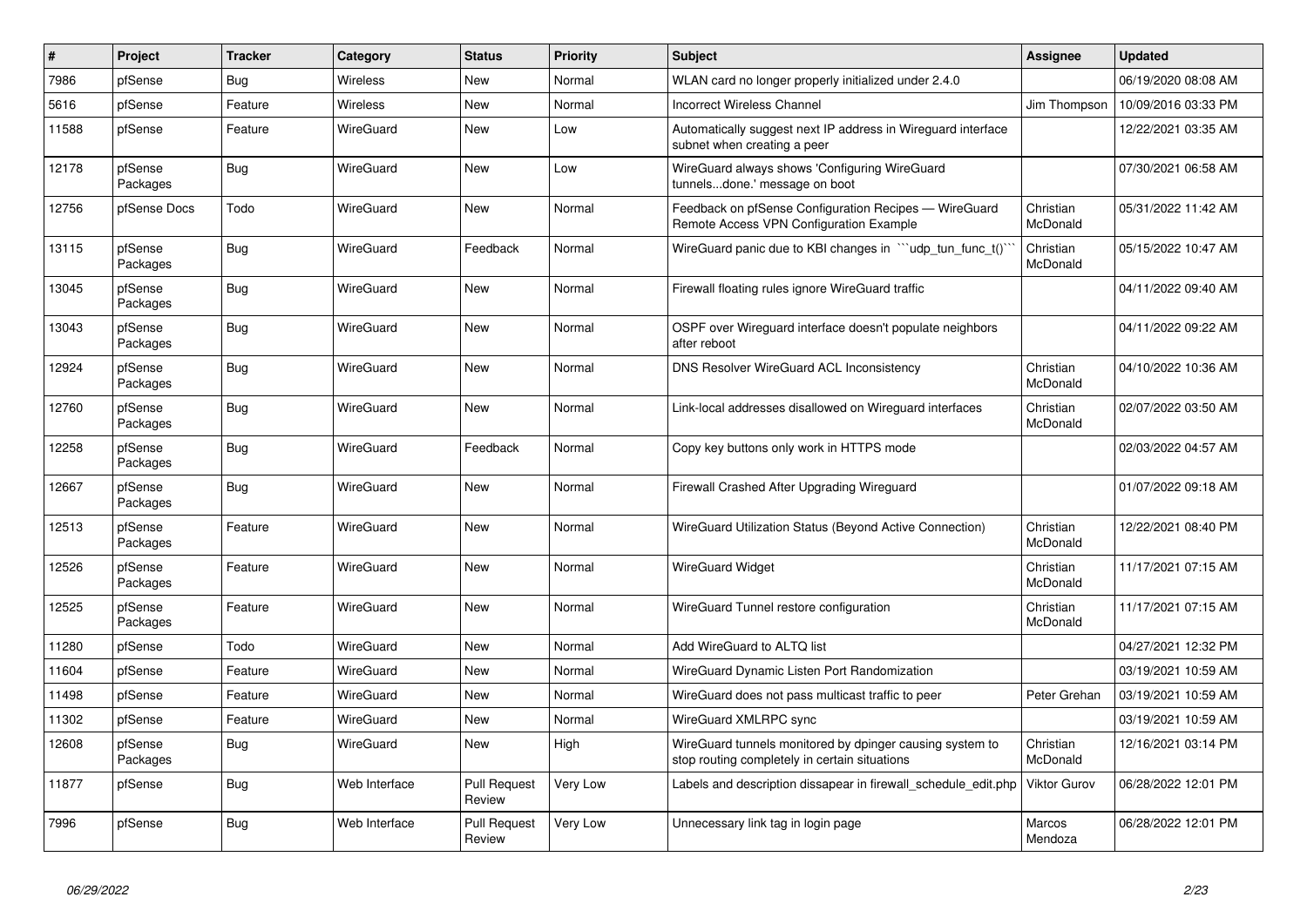| $\sharp$ | Project             | <b>Tracker</b> | Category         | <b>Status</b>                 | <b>Priority</b> | <b>Subject</b>                                                                                            | <b>Assignee</b>       | <b>Updated</b>      |
|----------|---------------------|----------------|------------------|-------------------------------|-----------------|-----------------------------------------------------------------------------------------------------------|-----------------------|---------------------|
| 7986     | pfSense             | Bug            | Wireless         | New                           | Normal          | WLAN card no longer properly initialized under 2.4.0                                                      |                       | 06/19/2020 08:08 AM |
| 5616     | pfSense             | Feature        | Wireless         | New                           | Normal          | <b>Incorrect Wireless Channel</b>                                                                         | Jim Thompson          | 10/09/2016 03:33 PM |
| 11588    | pfSense             | Feature        | <b>WireGuard</b> | New                           | Low             | Automatically suggest next IP address in Wireguard interface<br>subnet when creating a peer               |                       | 12/22/2021 03:35 AM |
| 12178    | pfSense<br>Packages | Bug            | <b>WireGuard</b> | New                           | Low             | WireGuard always shows 'Configuring WireGuard<br>tunnelsdone.' message on boot                            |                       | 07/30/2021 06:58 AM |
| 12756    | pfSense Docs        | Todo           | WireGuard        | New                           | Normal          | Feedback on pfSense Configuration Recipes - WireGuard<br>Remote Access VPN Configuration Example          | Christian<br>McDonald | 05/31/2022 11:42 AM |
| 13115    | pfSense<br>Packages | Bug            | WireGuard        | Feedback                      | Normal          | WireGuard panic due to KBI changes in ```udp_tun_func_t()`                                                | Christian<br>McDonald | 05/15/2022 10:47 AM |
| 13045    | pfSense<br>Packages | Bug            | WireGuard        | New                           | Normal          | Firewall floating rules ignore WireGuard traffic                                                          |                       | 04/11/2022 09:40 AM |
| 13043    | pfSense<br>Packages | Bug            | WireGuard        | New                           | Normal          | OSPF over Wireguard interface doesn't populate neighbors<br>after reboot                                  |                       | 04/11/2022 09:22 AM |
| 12924    | pfSense<br>Packages | Bug            | WireGuard        | New                           | Normal          | DNS Resolver WireGuard ACL Inconsistency                                                                  | Christian<br>McDonald | 04/10/2022 10:36 AM |
| 12760    | pfSense<br>Packages | <b>Bug</b>     | WireGuard        | <b>New</b>                    | Normal          | Link-local addresses disallowed on Wireguard interfaces                                                   | Christian<br>McDonald | 02/07/2022 03:50 AM |
| 12258    | pfSense<br>Packages | Bug            | WireGuard        | Feedback                      | Normal          | Copy key buttons only work in HTTPS mode                                                                  |                       | 02/03/2022 04:57 AM |
| 12667    | pfSense<br>Packages | <b>Bug</b>     | WireGuard        | New                           | Normal          | Firewall Crashed After Upgrading Wireguard                                                                |                       | 01/07/2022 09:18 AM |
| 12513    | pfSense<br>Packages | Feature        | WireGuard        | <b>New</b>                    | Normal          | WireGuard Utilization Status (Beyond Active Connection)                                                   | Christian<br>McDonald | 12/22/2021 08:40 PM |
| 12526    | pfSense<br>Packages | Feature        | WireGuard        | <b>New</b>                    | Normal          | WireGuard Widget                                                                                          | Christian<br>McDonald | 11/17/2021 07:15 AM |
| 12525    | pfSense<br>Packages | Feature        | WireGuard        | <b>New</b>                    | Normal          | WireGuard Tunnel restore configuration                                                                    | Christian<br>McDonald | 11/17/2021 07:15 AM |
| 11280    | pfSense             | Todo           | WireGuard        | New                           | Normal          | Add WireGuard to ALTQ list                                                                                |                       | 04/27/2021 12:32 PM |
| 11604    | pfSense             | Feature        | <b>WireGuard</b> | New                           | Normal          | WireGuard Dynamic Listen Port Randomization                                                               |                       | 03/19/2021 10:59 AM |
| 11498    | pfSense             | Feature        | WireGuard        | New                           | Normal          | WireGuard does not pass multicast traffic to peer                                                         | Peter Grehan          | 03/19/2021 10:59 AM |
| 11302    | pfSense             | Feature        | WireGuard        | New                           | Normal          | WireGuard XMLRPC sync                                                                                     |                       | 03/19/2021 10:59 AM |
| 12608    | pfSense<br>Packages | <b>Bug</b>     | <b>WireGuard</b> | New                           | High            | WireGuard tunnels monitored by dpinger causing system to<br>stop routing completely in certain situations | Christian<br>McDonald | 12/16/2021 03:14 PM |
| 11877    | pfSense             | Bug            | Web Interface    | <b>Pull Request</b><br>Review | Very Low        | Labels and description dissapear in firewall schedule edit.php                                            | Viktor Gurov          | 06/28/2022 12:01 PM |
| 7996     | pfSense             | <b>Bug</b>     | Web Interface    | <b>Pull Request</b><br>Review | Very Low        | Unnecessary link tag in login page                                                                        | Marcos<br>Mendoza     | 06/28/2022 12:01 PM |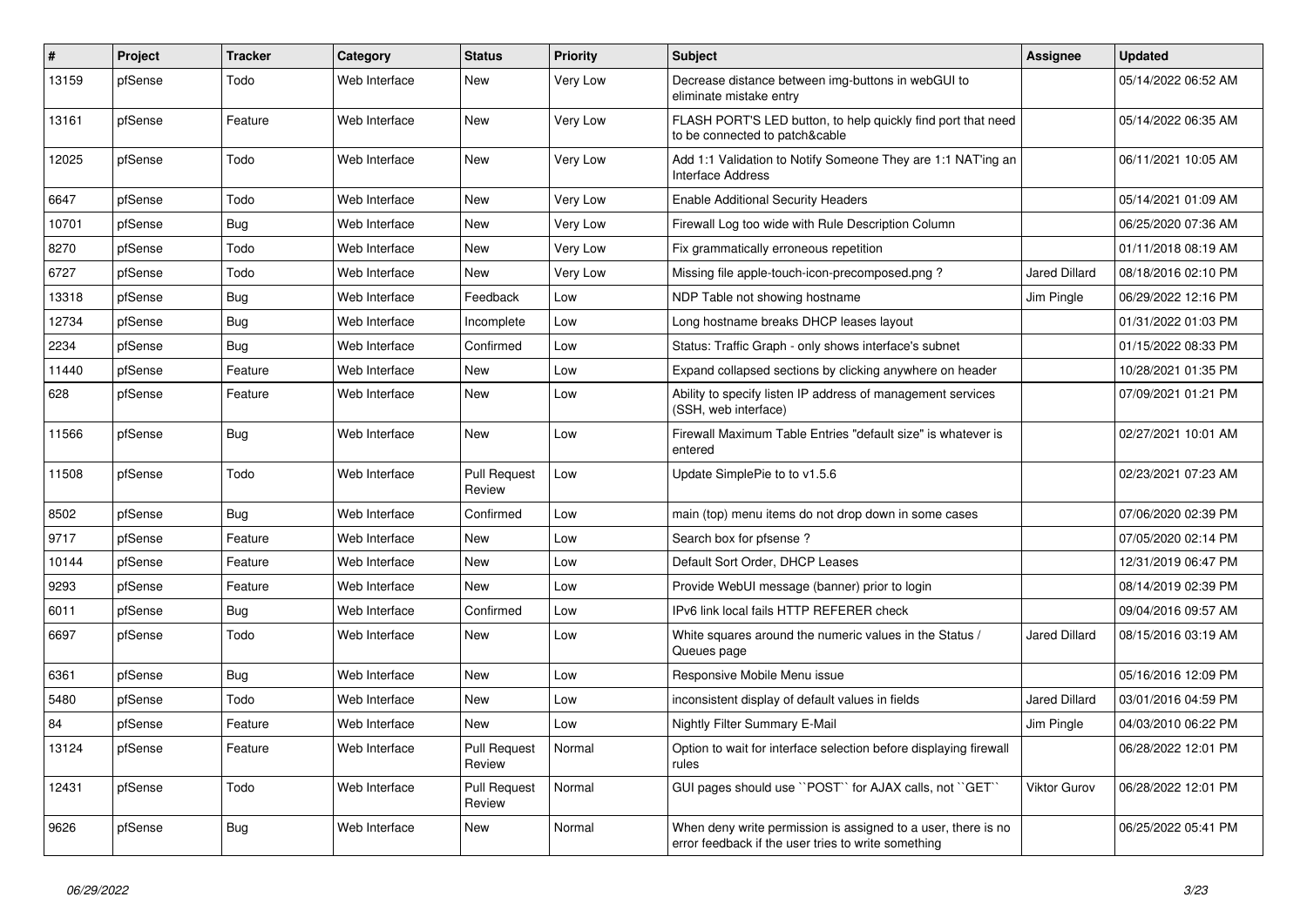| $\vert$ # | Project | <b>Tracker</b> | Category      | <b>Status</b>                 | <b>Priority</b> | <b>Subject</b>                                                                                                       | Assignee             | <b>Updated</b>      |
|-----------|---------|----------------|---------------|-------------------------------|-----------------|----------------------------------------------------------------------------------------------------------------------|----------------------|---------------------|
| 13159     | pfSense | Todo           | Web Interface | New                           | Very Low        | Decrease distance between img-buttons in webGUI to<br>eliminate mistake entry                                        |                      | 05/14/2022 06:52 AM |
| 13161     | pfSense | Feature        | Web Interface | <b>New</b>                    | Very Low        | FLASH PORT'S LED button, to help quickly find port that need<br>to be connected to patch&cable                       |                      | 05/14/2022 06:35 AM |
| 12025     | pfSense | Todo           | Web Interface | <b>New</b>                    | Very Low        | Add 1:1 Validation to Notify Someone They are 1:1 NAT'ing an<br><b>Interface Address</b>                             |                      | 06/11/2021 10:05 AM |
| 6647      | pfSense | Todo           | Web Interface | New                           | Very Low        | <b>Enable Additional Security Headers</b>                                                                            |                      | 05/14/2021 01:09 AM |
| 10701     | pfSense | Bug            | Web Interface | New                           | Very Low        | Firewall Log too wide with Rule Description Column                                                                   |                      | 06/25/2020 07:36 AM |
| 8270      | pfSense | Todo           | Web Interface | New                           | Very Low        | Fix grammatically erroneous repetition                                                                               |                      | 01/11/2018 08:19 AM |
| 6727      | pfSense | Todo           | Web Interface | New                           | Very Low        | Missing file apple-touch-icon-precomposed.png?                                                                       | <b>Jared Dillard</b> | 08/18/2016 02:10 PM |
| 13318     | pfSense | <b>Bug</b>     | Web Interface | Feedback                      | Low             | NDP Table not showing hostname                                                                                       | Jim Pingle           | 06/29/2022 12:16 PM |
| 12734     | pfSense | <b>Bug</b>     | Web Interface | Incomplete                    | Low             | Long hostname breaks DHCP leases layout                                                                              |                      | 01/31/2022 01:03 PM |
| 2234      | pfSense | Bug            | Web Interface | Confirmed                     | Low             | Status: Traffic Graph - only shows interface's subnet                                                                |                      | 01/15/2022 08:33 PM |
| 11440     | pfSense | Feature        | Web Interface | New                           | Low             | Expand collapsed sections by clicking anywhere on header                                                             |                      | 10/28/2021 01:35 PM |
| 628       | pfSense | Feature        | Web Interface | New                           | Low             | Ability to specify listen IP address of management services<br>(SSH, web interface)                                  |                      | 07/09/2021 01:21 PM |
| 11566     | pfSense | Bug            | Web Interface | New                           | Low             | Firewall Maximum Table Entries "default size" is whatever is<br>entered                                              |                      | 02/27/2021 10:01 AM |
| 11508     | pfSense | Todo           | Web Interface | <b>Pull Request</b><br>Review | Low             | Update SimplePie to to v1.5.6                                                                                        |                      | 02/23/2021 07:23 AM |
| 8502      | pfSense | <b>Bug</b>     | Web Interface | Confirmed                     | Low             | main (top) menu items do not drop down in some cases                                                                 |                      | 07/06/2020 02:39 PM |
| 9717      | pfSense | Feature        | Web Interface | New                           | Low             | Search box for pfsense?                                                                                              |                      | 07/05/2020 02:14 PM |
| 10144     | pfSense | Feature        | Web Interface | New                           | Low             | Default Sort Order, DHCP Leases                                                                                      |                      | 12/31/2019 06:47 PM |
| 9293      | pfSense | Feature        | Web Interface | <b>New</b>                    | Low             | Provide WebUI message (banner) prior to login                                                                        |                      | 08/14/2019 02:39 PM |
| 6011      | pfSense | Bug            | Web Interface | Confirmed                     | Low             | IPv6 link local fails HTTP REFERER check                                                                             |                      | 09/04/2016 09:57 AM |
| 6697      | pfSense | Todo           | Web Interface | New                           | Low             | White squares around the numeric values in the Status /<br>Queues page                                               | <b>Jared Dillard</b> | 08/15/2016 03:19 AM |
| 6361      | pfSense | <b>Bug</b>     | Web Interface | New                           | Low             | Responsive Mobile Menu issue                                                                                         |                      | 05/16/2016 12:09 PM |
| 5480      | pfSense | Todo           | Web Interface | New                           | Low             | inconsistent display of default values in fields                                                                     | <b>Jared Dillard</b> | 03/01/2016 04:59 PM |
| 84        | pfSense | Feature        | Web Interface | New                           | Low             | Nightly Filter Summary E-Mail                                                                                        | Jim Pingle           | 04/03/2010 06:22 PM |
| 13124     | pfSense | Feature        | Web Interface | <b>Pull Request</b><br>Review | Normal          | Option to wait for interface selection before displaying firewall<br>rules                                           |                      | 06/28/2022 12:01 PM |
| 12431     | pfSense | Todo           | Web Interface | <b>Pull Request</b><br>Review | Normal          | GUI pages should use "POST" for AJAX calls, not "GET"                                                                | <b>Viktor Gurov</b>  | 06/28/2022 12:01 PM |
| 9626      | pfSense | Bug            | Web Interface | New                           | Normal          | When deny write permission is assigned to a user, there is no<br>error feedback if the user tries to write something |                      | 06/25/2022 05:41 PM |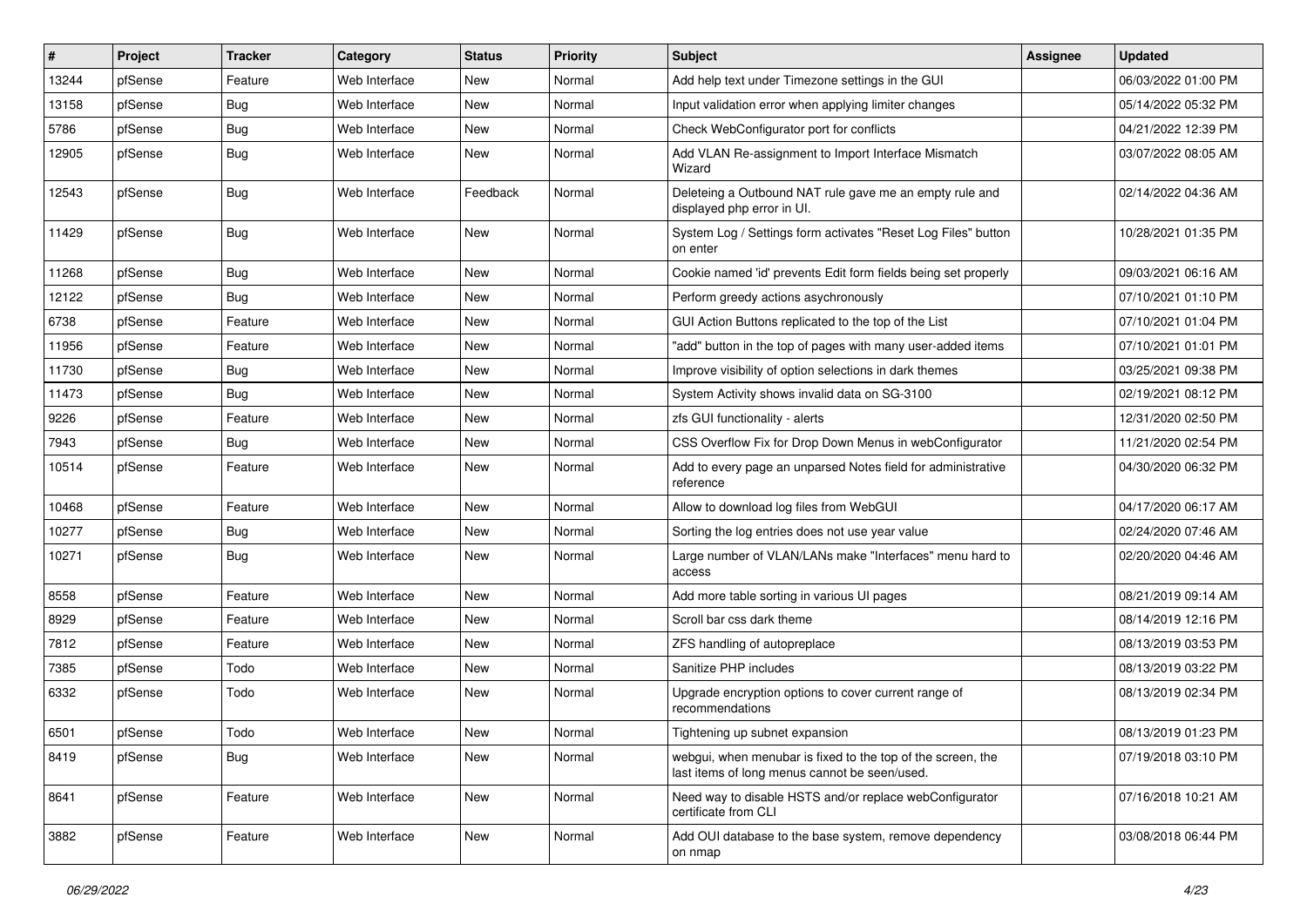| $\sharp$ | Project | <b>Tracker</b> | Category      | <b>Status</b> | Priority | Subject                                                                                                      | <b>Assignee</b> | <b>Updated</b>      |
|----------|---------|----------------|---------------|---------------|----------|--------------------------------------------------------------------------------------------------------------|-----------------|---------------------|
| 13244    | pfSense | Feature        | Web Interface | New           | Normal   | Add help text under Timezone settings in the GUI                                                             |                 | 06/03/2022 01:00 PM |
| 13158    | pfSense | <b>Bug</b>     | Web Interface | New           | Normal   | Input validation error when applying limiter changes                                                         |                 | 05/14/2022 05:32 PM |
| 5786     | pfSense | <b>Bug</b>     | Web Interface | New           | Normal   | Check WebConfigurator port for conflicts                                                                     |                 | 04/21/2022 12:39 PM |
| 12905    | pfSense | <b>Bug</b>     | Web Interface | New           | Normal   | Add VLAN Re-assignment to Import Interface Mismatch<br>Wizard                                                |                 | 03/07/2022 08:05 AM |
| 12543    | pfSense | <b>Bug</b>     | Web Interface | Feedback      | Normal   | Deleteing a Outbound NAT rule gave me an empty rule and<br>displayed php error in UI.                        |                 | 02/14/2022 04:36 AM |
| 11429    | pfSense | <b>Bug</b>     | Web Interface | <b>New</b>    | Normal   | System Log / Settings form activates "Reset Log Files" button<br>on enter                                    |                 | 10/28/2021 01:35 PM |
| 11268    | pfSense | <b>Bug</b>     | Web Interface | New           | Normal   | Cookie named 'id' prevents Edit form fields being set properly                                               |                 | 09/03/2021 06:16 AM |
| 12122    | pfSense | Bug            | Web Interface | New           | Normal   | Perform greedy actions asychronously                                                                         |                 | 07/10/2021 01:10 PM |
| 6738     | pfSense | Feature        | Web Interface | New           | Normal   | GUI Action Buttons replicated to the top of the List                                                         |                 | 07/10/2021 01:04 PM |
| 11956    | pfSense | Feature        | Web Interface | New           | Normal   | "add" button in the top of pages with many user-added items                                                  |                 | 07/10/2021 01:01 PM |
| 11730    | pfSense | <b>Bug</b>     | Web Interface | New           | Normal   | Improve visibility of option selections in dark themes                                                       |                 | 03/25/2021 09:38 PM |
| 11473    | pfSense | <b>Bug</b>     | Web Interface | New           | Normal   | System Activity shows invalid data on SG-3100                                                                |                 | 02/19/2021 08:12 PM |
| 9226     | pfSense | Feature        | Web Interface | New           | Normal   | zfs GUI functionality - alerts                                                                               |                 | 12/31/2020 02:50 PM |
| 7943     | pfSense | <b>Bug</b>     | Web Interface | New           | Normal   | CSS Overflow Fix for Drop Down Menus in webConfigurator                                                      |                 | 11/21/2020 02:54 PM |
| 10514    | pfSense | Feature        | Web Interface | New           | Normal   | Add to every page an unparsed Notes field for administrative<br>reference                                    |                 | 04/30/2020 06:32 PM |
| 10468    | pfSense | Feature        | Web Interface | New           | Normal   | Allow to download log files from WebGUI                                                                      |                 | 04/17/2020 06:17 AM |
| 10277    | pfSense | Bug            | Web Interface | New           | Normal   | Sorting the log entries does not use year value                                                              |                 | 02/24/2020 07:46 AM |
| 10271    | pfSense | <b>Bug</b>     | Web Interface | New           | Normal   | Large number of VLAN/LANs make "Interfaces" menu hard to<br>access                                           |                 | 02/20/2020 04:46 AM |
| 8558     | pfSense | Feature        | Web Interface | <b>New</b>    | Normal   | Add more table sorting in various UI pages                                                                   |                 | 08/21/2019 09:14 AM |
| 8929     | pfSense | Feature        | Web Interface | New           | Normal   | Scroll bar css dark theme                                                                                    |                 | 08/14/2019 12:16 PM |
| 7812     | pfSense | Feature        | Web Interface | New           | Normal   | ZFS handling of autopreplace                                                                                 |                 | 08/13/2019 03:53 PM |
| 7385     | pfSense | Todo           | Web Interface | New           | Normal   | Sanitize PHP includes                                                                                        |                 | 08/13/2019 03:22 PM |
| 6332     | pfSense | Todo           | Web Interface | New           | Normal   | Upgrade encryption options to cover current range of<br>recommendations                                      |                 | 08/13/2019 02:34 PM |
| 6501     | pfSense | Todo           | Web Interface | New           | Normal   | Tightening up subnet expansion                                                                               |                 | 08/13/2019 01:23 PM |
| 8419     | pfSense | Bug            | Web Interface | New           | Normal   | webgui, when menubar is fixed to the top of the screen, the<br>last items of long menus cannot be seen/used. |                 | 07/19/2018 03:10 PM |
| 8641     | pfSense | Feature        | Web Interface | <b>New</b>    | Normal   | Need way to disable HSTS and/or replace webConfigurator<br>certificate from CLI                              |                 | 07/16/2018 10:21 AM |
| 3882     | pfSense | Feature        | Web Interface | New           | Normal   | Add OUI database to the base system, remove dependency<br>on nmap                                            |                 | 03/08/2018 06:44 PM |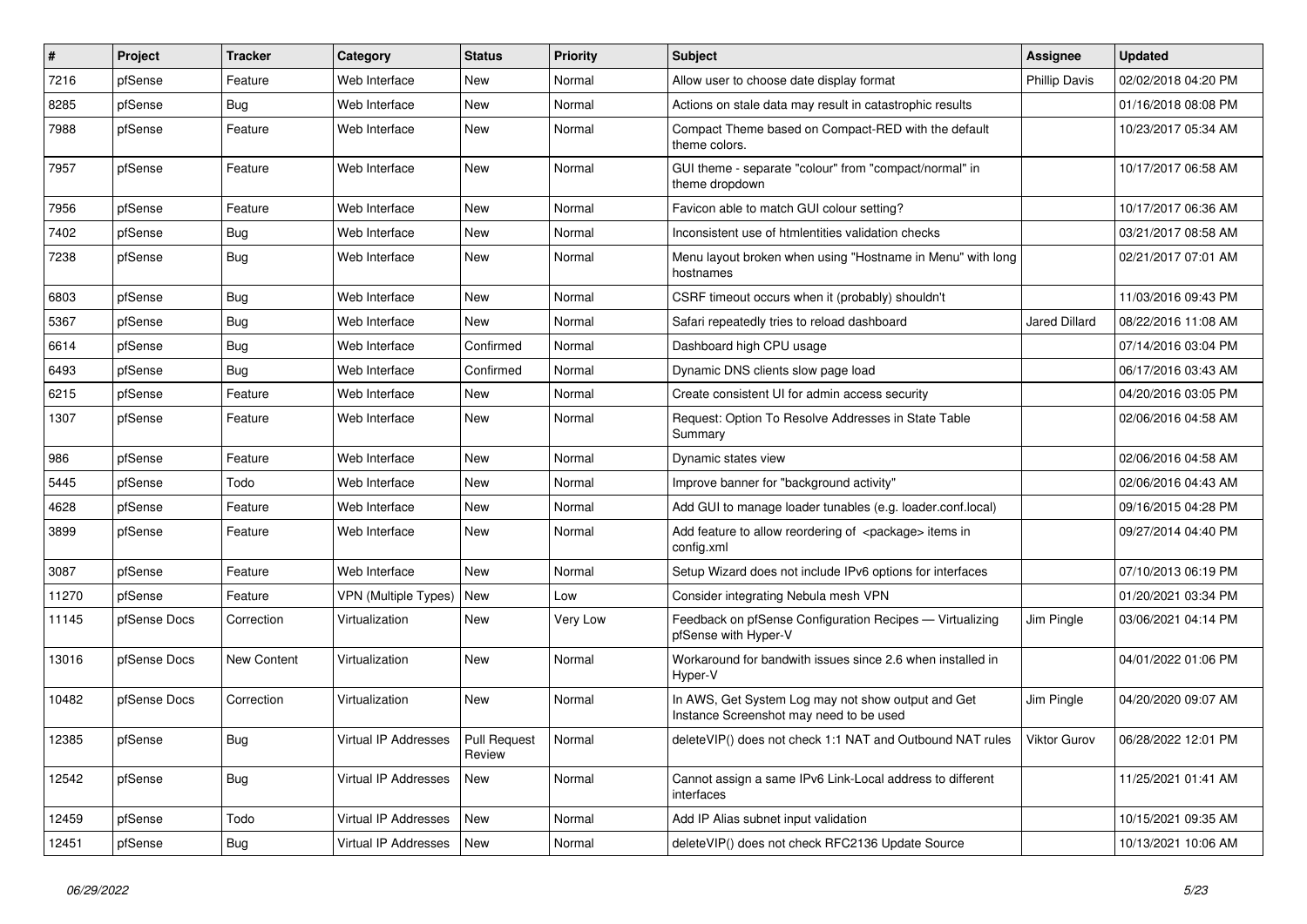| #     | Project      | <b>Tracker</b> | Category                    | <b>Status</b>                 | <b>Priority</b> | <b>Subject</b>                                                                                | <b>Assignee</b>      | <b>Updated</b>      |
|-------|--------------|----------------|-----------------------------|-------------------------------|-----------------|-----------------------------------------------------------------------------------------------|----------------------|---------------------|
| 7216  | pfSense      | Feature        | Web Interface               | New                           | Normal          | Allow user to choose date display format                                                      | <b>Phillip Davis</b> | 02/02/2018 04:20 PM |
| 8285  | pfSense      | <b>Bug</b>     | Web Interface               | New                           | Normal          | Actions on stale data may result in catastrophic results                                      |                      | 01/16/2018 08:08 PM |
| 7988  | pfSense      | Feature        | Web Interface               | New                           | Normal          | Compact Theme based on Compact-RED with the default<br>theme colors.                          |                      | 10/23/2017 05:34 AM |
| 7957  | pfSense      | Feature        | Web Interface               | New                           | Normal          | GUI theme - separate "colour" from "compact/normal" in<br>theme dropdown                      |                      | 10/17/2017 06:58 AM |
| 7956  | pfSense      | Feature        | Web Interface               | New                           | Normal          | Favicon able to match GUI colour setting?                                                     |                      | 10/17/2017 06:36 AM |
| 7402  | pfSense      | <b>Bug</b>     | Web Interface               | New                           | Normal          | Inconsistent use of htmlentities validation checks                                            |                      | 03/21/2017 08:58 AM |
| 7238  | pfSense      | Bug            | Web Interface               | <b>New</b>                    | Normal          | Menu layout broken when using "Hostname in Menu" with long<br>hostnames                       |                      | 02/21/2017 07:01 AM |
| 6803  | pfSense      | Bug            | Web Interface               | New                           | Normal          | CSRF timeout occurs when it (probably) shouldn't                                              |                      | 11/03/2016 09:43 PM |
| 5367  | pfSense      | <b>Bug</b>     | Web Interface               | New                           | Normal          | Safari repeatedly tries to reload dashboard                                                   | Jared Dillard        | 08/22/2016 11:08 AM |
| 6614  | pfSense      | <b>Bug</b>     | Web Interface               | Confirmed                     | Normal          | Dashboard high CPU usage                                                                      |                      | 07/14/2016 03:04 PM |
| 6493  | pfSense      | <b>Bug</b>     | Web Interface               | Confirmed                     | Normal          | Dynamic DNS clients slow page load                                                            |                      | 06/17/2016 03:43 AM |
| 6215  | pfSense      | Feature        | Web Interface               | New                           | Normal          | Create consistent UI for admin access security                                                |                      | 04/20/2016 03:05 PM |
| 1307  | pfSense      | Feature        | Web Interface               | New                           | Normal          | Request: Option To Resolve Addresses in State Table<br>Summary                                |                      | 02/06/2016 04:58 AM |
| 986   | pfSense      | Feature        | Web Interface               | New                           | Normal          | Dynamic states view                                                                           |                      | 02/06/2016 04:58 AM |
| 5445  | pfSense      | Todo           | Web Interface               | New                           | Normal          | Improve banner for "background activity"                                                      |                      | 02/06/2016 04:43 AM |
| 4628  | pfSense      | Feature        | Web Interface               | <b>New</b>                    | Normal          | Add GUI to manage loader tunables (e.g. loader.conf.local)                                    |                      | 09/16/2015 04:28 PM |
| 3899  | pfSense      | Feature        | Web Interface               | New                           | Normal          | Add feature to allow reordering of <package> items in<br/>config.xml</package>                |                      | 09/27/2014 04:40 PM |
| 3087  | pfSense      | Feature        | Web Interface               | New                           | Normal          | Setup Wizard does not include IPv6 options for interfaces                                     |                      | 07/10/2013 06:19 PM |
| 11270 | pfSense      | Feature        | VPN (Multiple Types)        | New                           | Low             | Consider integrating Nebula mesh VPN                                                          |                      | 01/20/2021 03:34 PM |
| 11145 | pfSense Docs | Correction     | Virtualization              | New                           | Very Low        | Feedback on pfSense Configuration Recipes — Virtualizing<br>pfSense with Hyper-V              | Jim Pingle           | 03/06/2021 04:14 PM |
| 13016 | pfSense Docs | New Content    | Virtualization              | New                           | Normal          | Workaround for bandwith issues since 2.6 when installed in<br>Hyper-V                         |                      | 04/01/2022 01:06 PM |
| 10482 | pfSense Docs | Correction     | Virtualization              | New                           | Normal          | In AWS, Get System Log may not show output and Get<br>Instance Screenshot may need to be used | Jim Pingle           | 04/20/2020 09:07 AM |
| 12385 | pfSense      | <b>Bug</b>     | Virtual IP Addresses        | <b>Pull Request</b><br>Review | Normal          | deleteVIP() does not check 1:1 NAT and Outbound NAT rules                                     | Viktor Gurov         | 06/28/2022 12:01 PM |
| 12542 | pfSense      | Bug            | Virtual IP Addresses        | <b>New</b>                    | Normal          | Cannot assign a same IPv6 Link-Local address to different<br>interfaces                       |                      | 11/25/2021 01:41 AM |
| 12459 | pfSense      | Todo           | <b>Virtual IP Addresses</b> | <b>New</b>                    | Normal          | Add IP Alias subnet input validation                                                          |                      | 10/15/2021 09:35 AM |
| 12451 | pfSense      | <b>Bug</b>     | Virtual IP Addresses        | New                           | Normal          | deleteVIP() does not check RFC2136 Update Source                                              |                      | 10/13/2021 10:06 AM |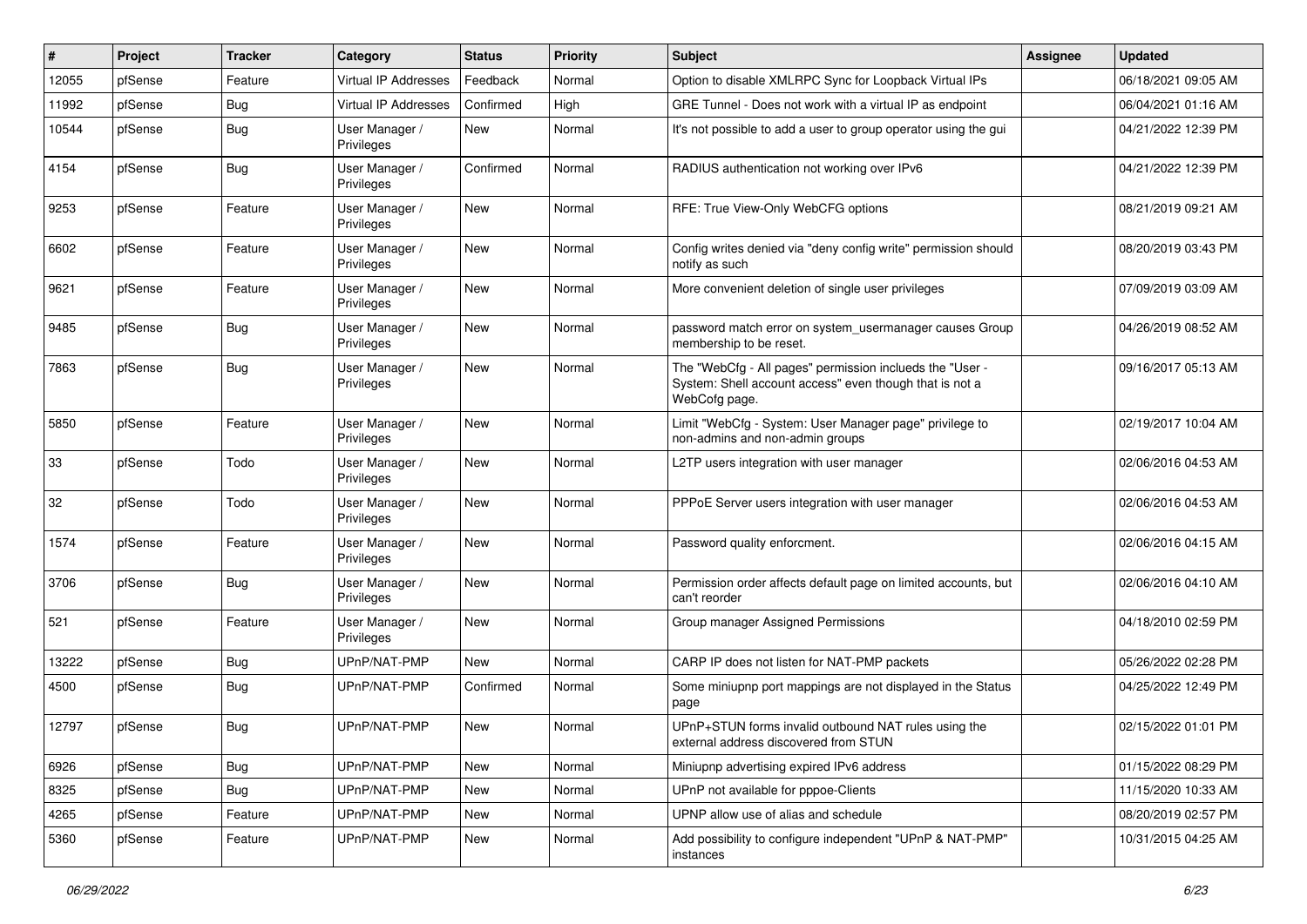| $\vert$ # | Project | <b>Tracker</b> | Category                     | <b>Status</b> | Priority | <b>Subject</b>                                                                                                                       | <b>Assignee</b> | <b>Updated</b>      |
|-----------|---------|----------------|------------------------------|---------------|----------|--------------------------------------------------------------------------------------------------------------------------------------|-----------------|---------------------|
| 12055     | pfSense | Feature        | <b>Virtual IP Addresses</b>  | Feedback      | Normal   | Option to disable XMLRPC Sync for Loopback Virtual IPs                                                                               |                 | 06/18/2021 09:05 AM |
| 11992     | pfSense | <b>Bug</b>     | Virtual IP Addresses         | Confirmed     | High     | GRE Tunnel - Does not work with a virtual IP as endpoint                                                                             |                 | 06/04/2021 01:16 AM |
| 10544     | pfSense | <b>Bug</b>     | User Manager /<br>Privileges | New           | Normal   | It's not possible to add a user to group operator using the gui                                                                      |                 | 04/21/2022 12:39 PM |
| 4154      | pfSense | <b>Bug</b>     | User Manager /<br>Privileges | Confirmed     | Normal   | RADIUS authentication not working over IPv6                                                                                          |                 | 04/21/2022 12:39 PM |
| 9253      | pfSense | Feature        | User Manager /<br>Privileges | New           | Normal   | RFE: True View-Only WebCFG options                                                                                                   |                 | 08/21/2019 09:21 AM |
| 6602      | pfSense | Feature        | User Manager /<br>Privileges | <b>New</b>    | Normal   | Config writes denied via "deny config write" permission should<br>notify as such                                                     |                 | 08/20/2019 03:43 PM |
| 9621      | pfSense | Feature        | User Manager /<br>Privileges | <b>New</b>    | Normal   | More convenient deletion of single user privileges                                                                                   |                 | 07/09/2019 03:09 AM |
| 9485      | pfSense | <b>Bug</b>     | User Manager /<br>Privileges | <b>New</b>    | Normal   | password match error on system_usermanager causes Group<br>membership to be reset.                                                   |                 | 04/26/2019 08:52 AM |
| 7863      | pfSense | <b>Bug</b>     | User Manager /<br>Privileges | <b>New</b>    | Normal   | The "WebCfg - All pages" permission inclueds the "User -<br>System: Shell account access" even though that is not a<br>WebCofg page. |                 | 09/16/2017 05:13 AM |
| 5850      | pfSense | Feature        | User Manager /<br>Privileges | <b>New</b>    | Normal   | Limit "WebCfg - System: User Manager page" privilege to<br>non-admins and non-admin groups                                           |                 | 02/19/2017 10:04 AM |
| 33        | pfSense | Todo           | User Manager /<br>Privileges | New           | Normal   | L2TP users integration with user manager                                                                                             |                 | 02/06/2016 04:53 AM |
| 32        | pfSense | Todo           | User Manager /<br>Privileges | <b>New</b>    | Normal   | PPPoE Server users integration with user manager                                                                                     |                 | 02/06/2016 04:53 AM |
| 1574      | pfSense | Feature        | User Manager /<br>Privileges | New           | Normal   | Password quality enforcment.                                                                                                         |                 | 02/06/2016 04:15 AM |
| 3706      | pfSense | <b>Bug</b>     | User Manager /<br>Privileges | <b>New</b>    | Normal   | Permission order affects default page on limited accounts, but<br>can't reorder                                                      |                 | 02/06/2016 04:10 AM |
| 521       | pfSense | Feature        | User Manager /<br>Privileges | <b>New</b>    | Normal   | Group manager Assigned Permissions                                                                                                   |                 | 04/18/2010 02:59 PM |
| 13222     | pfSense | <b>Bug</b>     | UPnP/NAT-PMP                 | <b>New</b>    | Normal   | CARP IP does not listen for NAT-PMP packets                                                                                          |                 | 05/26/2022 02:28 PM |
| 4500      | pfSense | <b>Bug</b>     | UPnP/NAT-PMP                 | Confirmed     | Normal   | Some miniupnp port mappings are not displayed in the Status<br>page                                                                  |                 | 04/25/2022 12:49 PM |
| 12797     | pfSense | <b>Bug</b>     | UPnP/NAT-PMP                 | <b>New</b>    | Normal   | UPnP+STUN forms invalid outbound NAT rules using the<br>external address discovered from STUN                                        |                 | 02/15/2022 01:01 PM |
| 6926      | pfSense | <b>Bug</b>     | UPnP/NAT-PMP                 | New           | Normal   | Miniupnp advertising expired IPv6 address                                                                                            |                 | 01/15/2022 08:29 PM |
| 8325      | pfSense | <b>Bug</b>     | UPnP/NAT-PMP                 | New           | Normal   | UPnP not available for pppoe-Clients                                                                                                 |                 | 11/15/2020 10:33 AM |
| 4265      | pfSense | Feature        | UPnP/NAT-PMP                 | New           | Normal   | UPNP allow use of alias and schedule                                                                                                 |                 | 08/20/2019 02:57 PM |
| 5360      | pfSense | Feature        | UPnP/NAT-PMP                 | New           | Normal   | Add possibility to configure independent "UPnP & NAT-PMP"<br>instances                                                               |                 | 10/31/2015 04:25 AM |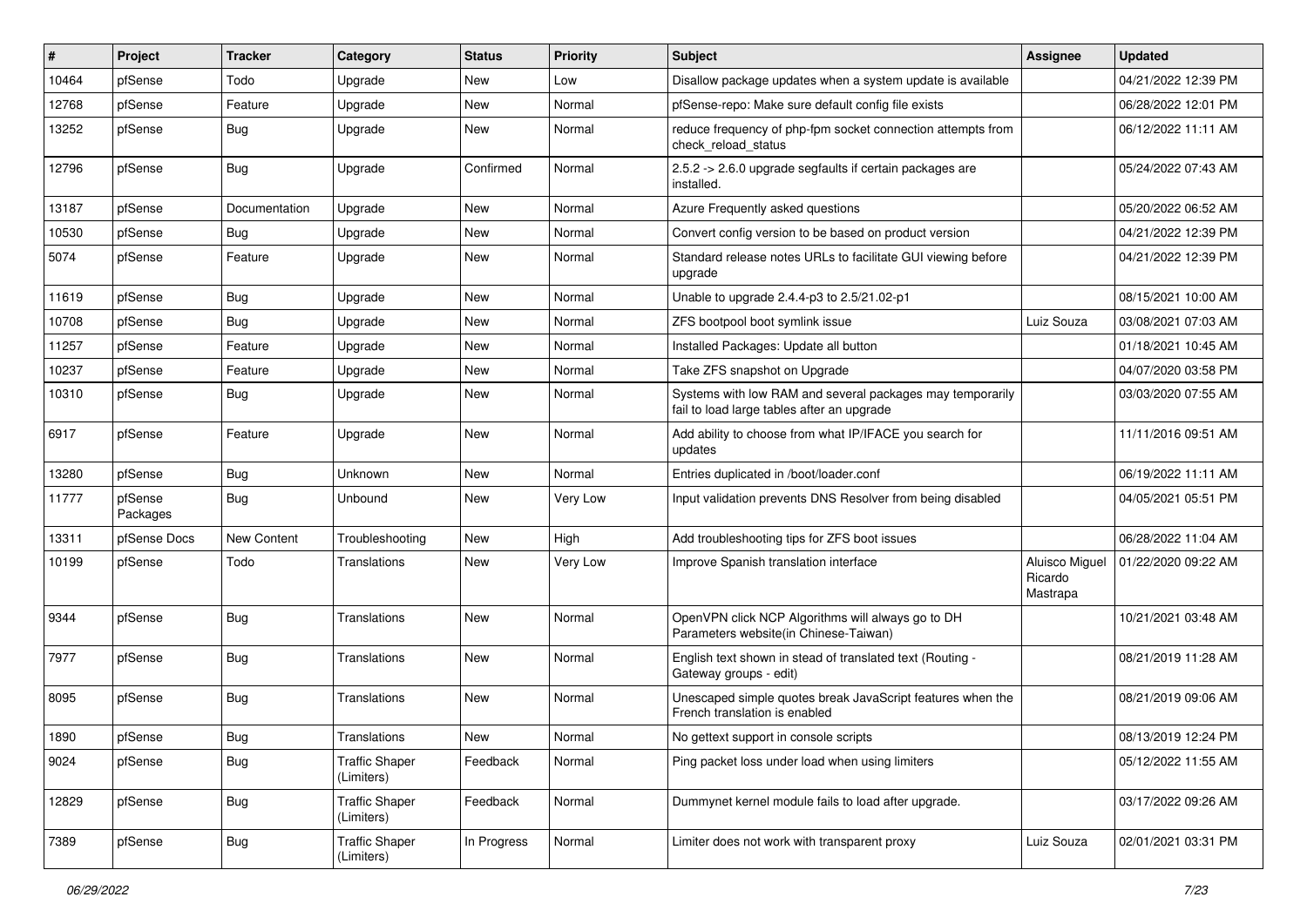| #     | Project             | <b>Tracker</b> | Category                            | <b>Status</b> | <b>Priority</b> | <b>Subject</b>                                                                                          | <b>Assignee</b>                       | <b>Updated</b>      |
|-------|---------------------|----------------|-------------------------------------|---------------|-----------------|---------------------------------------------------------------------------------------------------------|---------------------------------------|---------------------|
| 10464 | pfSense             | Todo           | Upgrade                             | New           | Low             | Disallow package updates when a system update is available                                              |                                       | 04/21/2022 12:39 PM |
| 12768 | pfSense             | Feature        | Upgrade                             | New           | Normal          | pfSense-repo: Make sure default config file exists                                                      |                                       | 06/28/2022 12:01 PM |
| 13252 | pfSense             | Bug            | Upgrade                             | New           | Normal          | reduce frequency of php-fpm socket connection attempts from<br>check reload status                      |                                       | 06/12/2022 11:11 AM |
| 12796 | pfSense             | <b>Bug</b>     | Upgrade                             | Confirmed     | Normal          | 2.5.2 -> 2.6.0 upgrade segfaults if certain packages are<br>installed.                                  |                                       | 05/24/2022 07:43 AM |
| 13187 | pfSense             | Documentation  | Upgrade                             | New           | Normal          | Azure Frequently asked questions                                                                        |                                       | 05/20/2022 06:52 AM |
| 10530 | pfSense             | Bug            | Upgrade                             | <b>New</b>    | Normal          | Convert config version to be based on product version                                                   |                                       | 04/21/2022 12:39 PM |
| 5074  | pfSense             | Feature        | Upgrade                             | New           | Normal          | Standard release notes URLs to facilitate GUI viewing before<br>upgrade                                 |                                       | 04/21/2022 12:39 PM |
| 11619 | pfSense             | <b>Bug</b>     | Upgrade                             | New           | Normal          | Unable to upgrade 2.4.4-p3 to 2.5/21.02-p1                                                              |                                       | 08/15/2021 10:00 AM |
| 10708 | pfSense             | Bug            | Upgrade                             | New           | Normal          | ZFS bootpool boot symlink issue                                                                         | Luiz Souza                            | 03/08/2021 07:03 AM |
| 11257 | pfSense             | Feature        | Upgrade                             | New           | Normal          | Installed Packages: Update all button                                                                   |                                       | 01/18/2021 10:45 AM |
| 10237 | pfSense             | Feature        | Upgrade                             | New           | Normal          | Take ZFS snapshot on Upgrade                                                                            |                                       | 04/07/2020 03:58 PM |
| 10310 | pfSense             | <b>Bug</b>     | Upgrade                             | New           | Normal          | Systems with low RAM and several packages may temporarily<br>fail to load large tables after an upgrade |                                       | 03/03/2020 07:55 AM |
| 6917  | pfSense             | Feature        | Upgrade                             | New           | Normal          | Add ability to choose from what IP/IFACE you search for<br>updates                                      |                                       | 11/11/2016 09:51 AM |
| 13280 | pfSense             | Bug            | Unknown                             | New           | Normal          | Entries duplicated in /boot/loader.conf                                                                 |                                       | 06/19/2022 11:11 AM |
| 11777 | pfSense<br>Packages | <b>Bug</b>     | Unbound                             | <b>New</b>    | Very Low        | Input validation prevents DNS Resolver from being disabled                                              |                                       | 04/05/2021 05:51 PM |
| 13311 | pfSense Docs        | New Content    | Troubleshooting                     | New           | High            | Add troubleshooting tips for ZFS boot issues                                                            |                                       | 06/28/2022 11:04 AM |
| 10199 | pfSense             | Todo           | Translations                        | New           | Very Low        | Improve Spanish translation interface                                                                   | Aluisco Miguel<br>Ricardo<br>Mastrapa | 01/22/2020 09:22 AM |
| 9344  | pfSense             | <b>Bug</b>     | Translations                        | New           | Normal          | OpenVPN click NCP Algorithms will always go to DH<br>Parameters website(in Chinese-Taiwan)              |                                       | 10/21/2021 03:48 AM |
| 7977  | pfSense             | Bug            | Translations                        | New           | Normal          | English text shown in stead of translated text (Routing -<br>Gateway groups - edit)                     |                                       | 08/21/2019 11:28 AM |
| 8095  | pfSense             | <b>Bug</b>     | Translations                        | New           | Normal          | Unescaped simple quotes break JavaScript features when the<br>French translation is enabled             |                                       | 08/21/2019 09:06 AM |
| 1890  | pfSense             | Bug            | Translations                        | New           | Normal          | No gettext support in console scripts                                                                   |                                       | 08/13/2019 12:24 PM |
| 9024  | pfSense             | Bug            | <b>Traffic Shaper</b><br>(Limiters) | Feedback      | Normal          | Ping packet loss under load when using limiters                                                         |                                       | 05/12/2022 11:55 AM |
| 12829 | pfSense             | <b>Bug</b>     | <b>Traffic Shaper</b><br>(Limiters) | Feedback      | Normal          | Dummynet kernel module fails to load after upgrade.                                                     |                                       | 03/17/2022 09:26 AM |
| 7389  | pfSense             | <b>Bug</b>     | <b>Traffic Shaper</b><br>(Limiters) | In Progress   | Normal          | Limiter does not work with transparent proxy                                                            | Luiz Souza                            | 02/01/2021 03:31 PM |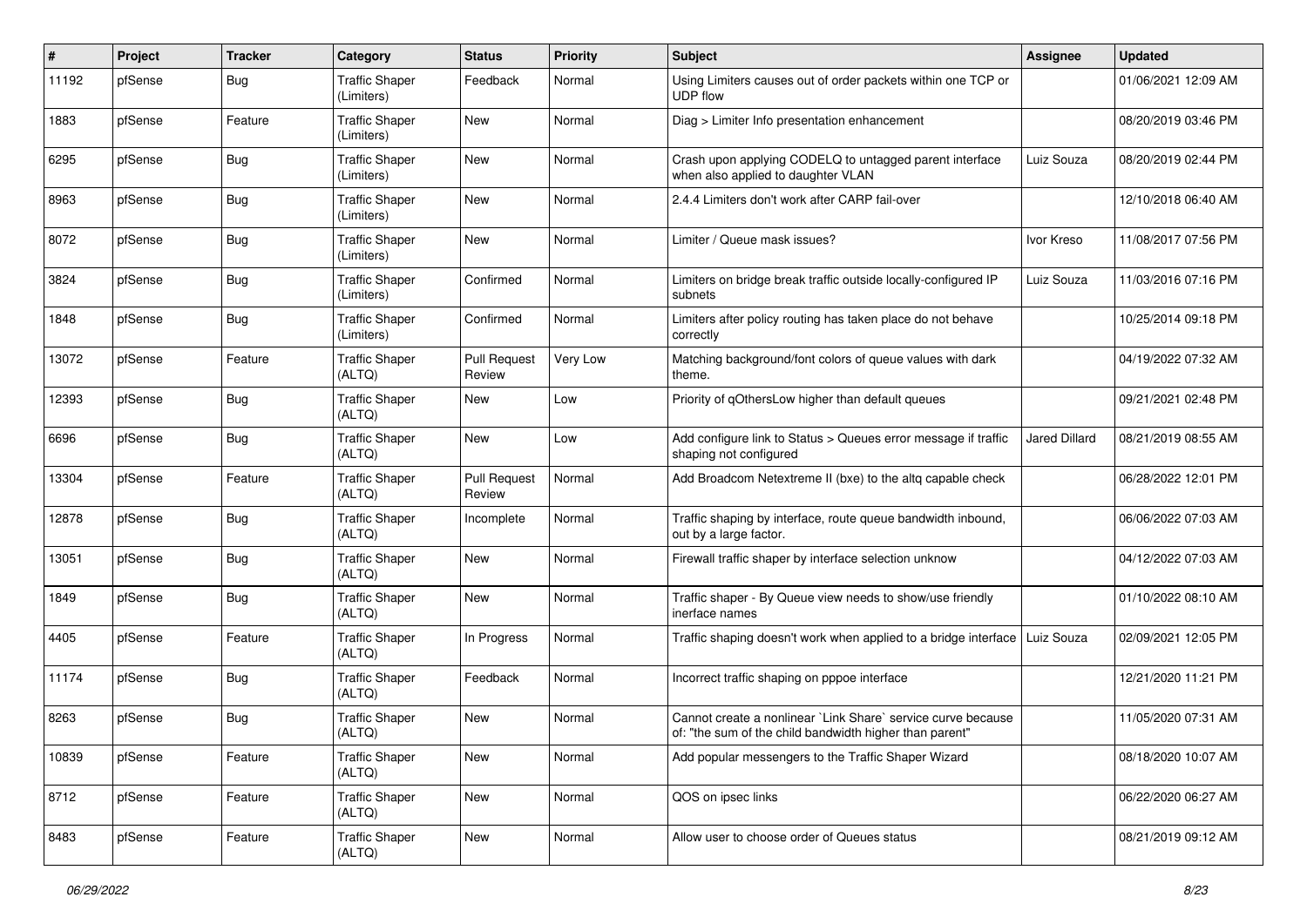| $\sharp$ | Project | <b>Tracker</b> | Category                            | <b>Status</b>                 | <b>Priority</b> | <b>Subject</b>                                                                                                          | Assignee             | <b>Updated</b>      |
|----------|---------|----------------|-------------------------------------|-------------------------------|-----------------|-------------------------------------------------------------------------------------------------------------------------|----------------------|---------------------|
| 11192    | pfSense | Bug            | <b>Traffic Shaper</b><br>(Limiters) | Feedback                      | Normal          | Using Limiters causes out of order packets within one TCP or<br>UDP flow                                                |                      | 01/06/2021 12:09 AM |
| 1883     | pfSense | Feature        | <b>Traffic Shaper</b><br>(Limiters) | New                           | Normal          | Diag > Limiter Info presentation enhancement                                                                            |                      | 08/20/2019 03:46 PM |
| 6295     | pfSense | Bug            | <b>Traffic Shaper</b><br>(Limiters) | <b>New</b>                    | Normal          | Crash upon applying CODELQ to untagged parent interface<br>when also applied to daughter VLAN                           | Luiz Souza           | 08/20/2019 02:44 PM |
| 8963     | pfSense | Bug            | <b>Traffic Shaper</b><br>(Limiters) | New                           | Normal          | 2.4.4 Limiters don't work after CARP fail-over                                                                          |                      | 12/10/2018 06:40 AM |
| 8072     | pfSense | <b>Bug</b>     | <b>Traffic Shaper</b><br>(Limiters) | New                           | Normal          | Limiter / Queue mask issues?                                                                                            | Ivor Kreso           | 11/08/2017 07:56 PM |
| 3824     | pfSense | Bug            | <b>Traffic Shaper</b><br>(Limiters) | Confirmed                     | Normal          | Limiters on bridge break traffic outside locally-configured IP<br>subnets                                               | Luiz Souza           | 11/03/2016 07:16 PM |
| 1848     | pfSense | Bug            | <b>Traffic Shaper</b><br>(Limiters) | Confirmed                     | Normal          | Limiters after policy routing has taken place do not behave<br>correctly                                                |                      | 10/25/2014 09:18 PM |
| 13072    | pfSense | Feature        | <b>Traffic Shaper</b><br>(ALTQ)     | <b>Pull Request</b><br>Review | Very Low        | Matching background/font colors of queue values with dark<br>theme.                                                     |                      | 04/19/2022 07:32 AM |
| 12393    | pfSense | Bug            | <b>Traffic Shaper</b><br>(ALTQ)     | New                           | Low             | Priority of qOthersLow higher than default queues                                                                       |                      | 09/21/2021 02:48 PM |
| 6696     | pfSense | <b>Bug</b>     | <b>Traffic Shaper</b><br>(ALTQ)     | <b>New</b>                    | Low             | Add configure link to Status > Queues error message if traffic<br>shaping not configured                                | <b>Jared Dillard</b> | 08/21/2019 08:55 AM |
| 13304    | pfSense | Feature        | <b>Traffic Shaper</b><br>(ALTQ)     | <b>Pull Request</b><br>Review | Normal          | Add Broadcom Netextreme II (bxe) to the altq capable check                                                              |                      | 06/28/2022 12:01 PM |
| 12878    | pfSense | Bug            | <b>Traffic Shaper</b><br>(ALTQ)     | Incomplete                    | Normal          | Traffic shaping by interface, route queue bandwidth inbound,<br>out by a large factor.                                  |                      | 06/06/2022 07:03 AM |
| 13051    | pfSense | Bug            | <b>Traffic Shaper</b><br>(ALTQ)     | New                           | Normal          | Firewall traffic shaper by interface selection unknow                                                                   |                      | 04/12/2022 07:03 AM |
| 1849     | pfSense | <b>Bug</b>     | <b>Traffic Shaper</b><br>(ALTQ)     | New                           | Normal          | Traffic shaper - By Queue view needs to show/use friendly<br>inerface names                                             |                      | 01/10/2022 08:10 AM |
| 4405     | pfSense | Feature        | <b>Traffic Shaper</b><br>(ALTQ)     | In Progress                   | Normal          | Traffic shaping doesn't work when applied to a bridge interface   Luiz Souza                                            |                      | 02/09/2021 12:05 PM |
| 11174    | pfSense | <b>Bug</b>     | <b>Traffic Shaper</b><br>(ALTQ)     | Feedback                      | Normal          | Incorrect traffic shaping on pppoe interface                                                                            |                      | 12/21/2020 11:21 PM |
| 8263     | pfSense | <b>Bug</b>     | <b>Traffic Shaper</b><br>(ALTQ)     | <b>New</b>                    | Normal          | Cannot create a nonlinear `Link Share` service curve because<br>of: "the sum of the child bandwidth higher than parent" |                      | 11/05/2020 07:31 AM |
| 10839    | pfSense | Feature        | <b>Traffic Shaper</b><br>(ALTQ)     | New                           | Normal          | Add popular messengers to the Traffic Shaper Wizard                                                                     |                      | 08/18/2020 10:07 AM |
| 8712     | pfSense | Feature        | <b>Traffic Shaper</b><br>(ALTQ)     | New                           | Normal          | QOS on ipsec links                                                                                                      |                      | 06/22/2020 06:27 AM |
| 8483     | pfSense | Feature        | <b>Traffic Shaper</b><br>(ALTQ)     | New                           | Normal          | Allow user to choose order of Queues status                                                                             |                      | 08/21/2019 09:12 AM |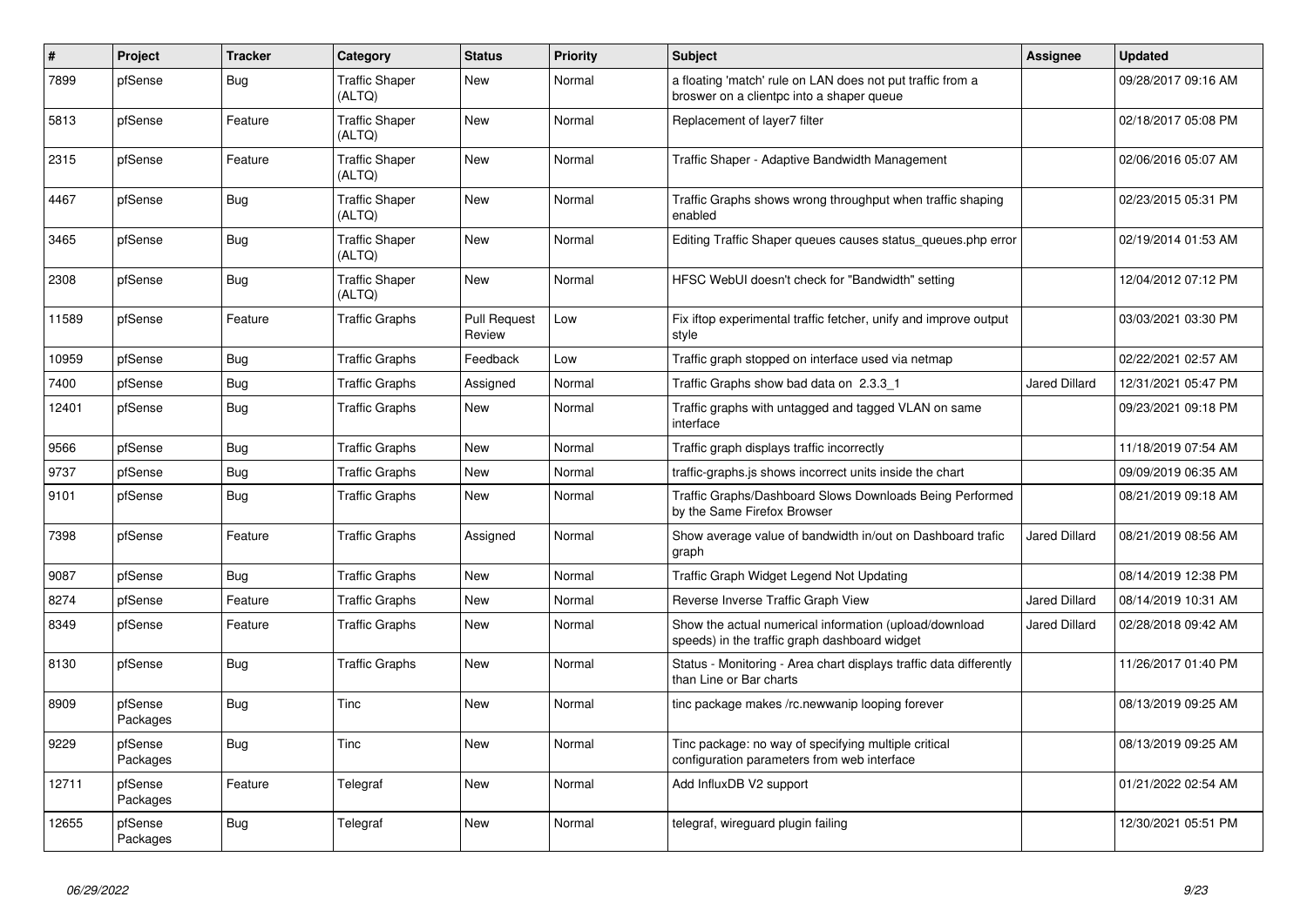| $\sharp$ | Project             | <b>Tracker</b> | Category                        | <b>Status</b>                 | <b>Priority</b> | <b>Subject</b>                                                                                          | Assignee             | <b>Updated</b>      |
|----------|---------------------|----------------|---------------------------------|-------------------------------|-----------------|---------------------------------------------------------------------------------------------------------|----------------------|---------------------|
| 7899     | pfSense             | <b>Bug</b>     | <b>Traffic Shaper</b><br>(ALTQ) | New                           | Normal          | a floating 'match' rule on LAN does not put traffic from a<br>broswer on a clientpc into a shaper queue |                      | 09/28/2017 09:16 AM |
| 5813     | pfSense             | Feature        | <b>Traffic Shaper</b><br>(ALTQ) | New                           | Normal          | Replacement of layer7 filter                                                                            |                      | 02/18/2017 05:08 PM |
| 2315     | pfSense             | Feature        | <b>Traffic Shaper</b><br>(ALTQ) | New                           | Normal          | Traffic Shaper - Adaptive Bandwidth Management                                                          |                      | 02/06/2016 05:07 AM |
| 4467     | pfSense             | <b>Bug</b>     | <b>Traffic Shaper</b><br>(ALTQ) | <b>New</b>                    | Normal          | Traffic Graphs shows wrong throughput when traffic shaping<br>enabled                                   |                      | 02/23/2015 05:31 PM |
| 3465     | pfSense             | Bug            | <b>Traffic Shaper</b><br>(ALTQ) | <b>New</b>                    | Normal          | Editing Traffic Shaper queues causes status_queues.php error                                            |                      | 02/19/2014 01:53 AM |
| 2308     | pfSense             | Bug            | <b>Traffic Shaper</b><br>(ALTQ) | New                           | Normal          | HFSC WebUI doesn't check for "Bandwidth" setting                                                        |                      | 12/04/2012 07:12 PM |
| 11589    | pfSense             | Feature        | <b>Traffic Graphs</b>           | <b>Pull Request</b><br>Review | Low             | Fix iftop experimental traffic fetcher, unify and improve output<br>style                               |                      | 03/03/2021 03:30 PM |
| 10959    | pfSense             | <b>Bug</b>     | <b>Traffic Graphs</b>           | Feedback                      | Low             | Traffic graph stopped on interface used via netmap                                                      |                      | 02/22/2021 02:57 AM |
| 7400     | pfSense             | <b>Bug</b>     | <b>Traffic Graphs</b>           | Assigned                      | Normal          | Traffic Graphs show bad data on 2.3.3 1                                                                 | <b>Jared Dillard</b> | 12/31/2021 05:47 PM |
| 12401    | pfSense             | <b>Bug</b>     | <b>Traffic Graphs</b>           | New                           | Normal          | Traffic graphs with untagged and tagged VLAN on same<br>interface                                       |                      | 09/23/2021 09:18 PM |
| 9566     | pfSense             | Bug            | <b>Traffic Graphs</b>           | <b>New</b>                    | Normal          | Traffic graph displays traffic incorrectly                                                              |                      | 11/18/2019 07:54 AM |
| 9737     | pfSense             | <b>Bug</b>     | <b>Traffic Graphs</b>           | New                           | Normal          | traffic-graphs is shows incorrect units inside the chart                                                |                      | 09/09/2019 06:35 AM |
| 9101     | pfSense             | <b>Bug</b>     | <b>Traffic Graphs</b>           | New                           | Normal          | Traffic Graphs/Dashboard Slows Downloads Being Performed<br>by the Same Firefox Browser                 |                      | 08/21/2019 09:18 AM |
| 7398     | pfSense             | Feature        | <b>Traffic Graphs</b>           | Assigned                      | Normal          | Show average value of bandwidth in/out on Dashboard trafic<br>graph                                     | Jared Dillard        | 08/21/2019 08:56 AM |
| 9087     | pfSense             | <b>Bug</b>     | <b>Traffic Graphs</b>           | New                           | Normal          | Traffic Graph Widget Legend Not Updating                                                                |                      | 08/14/2019 12:38 PM |
| 8274     | pfSense             | Feature        | <b>Traffic Graphs</b>           | New                           | Normal          | Reverse Inverse Traffic Graph View                                                                      | <b>Jared Dillard</b> | 08/14/2019 10:31 AM |
| 8349     | pfSense             | Feature        | <b>Traffic Graphs</b>           | New                           | Normal          | Show the actual numerical information (upload/download<br>speeds) in the traffic graph dashboard widget | <b>Jared Dillard</b> | 02/28/2018 09:42 AM |
| 8130     | pfSense             | Bug            | <b>Traffic Graphs</b>           | New                           | Normal          | Status - Monitoring - Area chart displays traffic data differently<br>than Line or Bar charts           |                      | 11/26/2017 01:40 PM |
| 8909     | pfSense<br>Packages | <b>Bug</b>     | Tinc                            | <b>New</b>                    | Normal          | tinc package makes /rc.newwanip looping forever                                                         |                      | 08/13/2019 09:25 AM |
| 9229     | pfSense<br>Packages | Bug            | Tinc                            | <b>New</b>                    | Normal          | Tinc package: no way of specifying multiple critical<br>configuration parameters from web interface     |                      | 08/13/2019 09:25 AM |
| 12711    | pfSense<br>Packages | Feature        | Telegraf                        | New                           | Normal          | Add InfluxDB V2 support                                                                                 |                      | 01/21/2022 02:54 AM |
| 12655    | pfSense<br>Packages | Bug            | Telegraf                        | New                           | Normal          | telegraf, wireguard plugin failing                                                                      |                      | 12/30/2021 05:51 PM |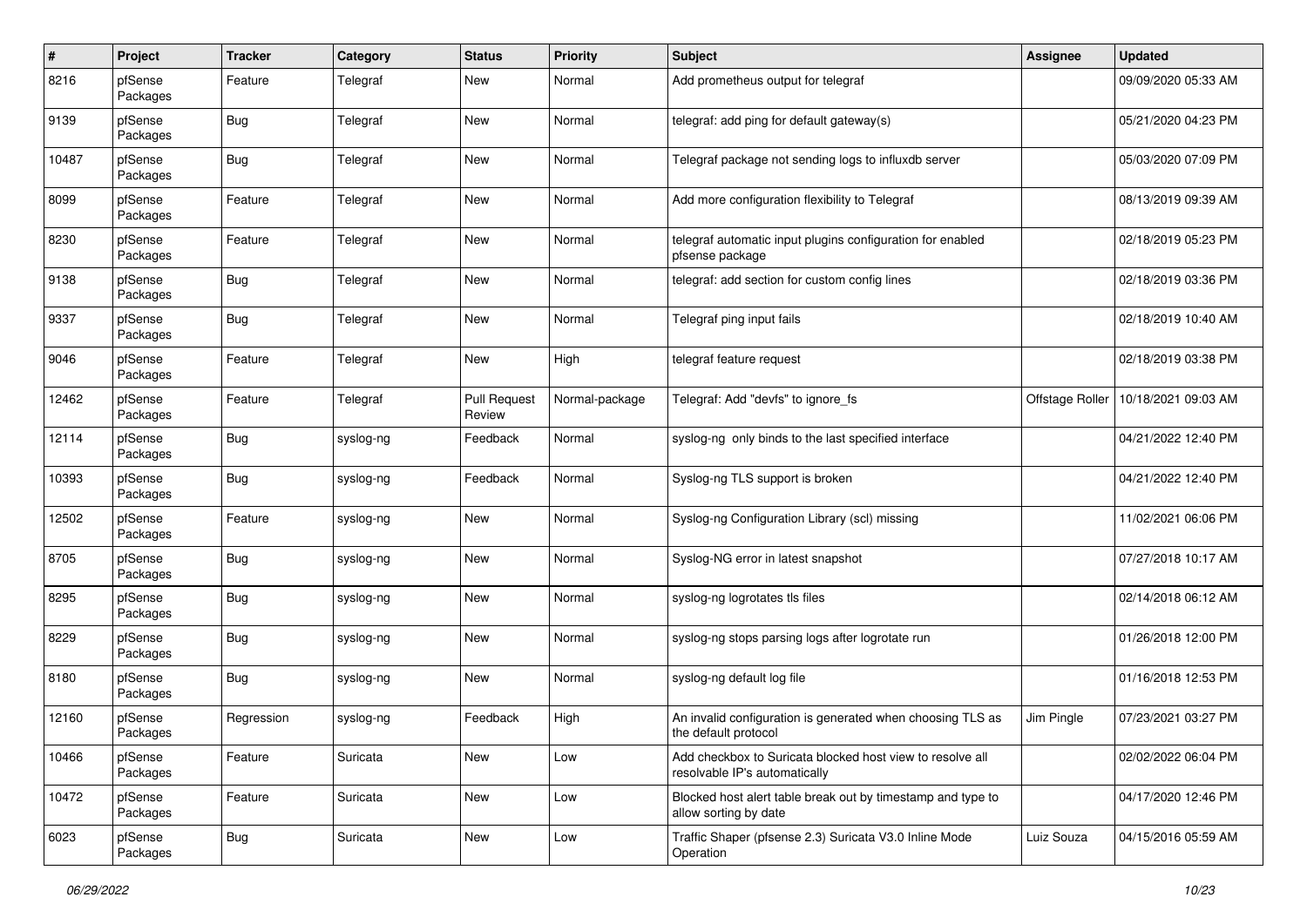| $\pmb{\#}$ | Project             | <b>Tracker</b> | Category  | <b>Status</b>                 | <b>Priority</b> | <b>Subject</b>                                                                             | <b>Assignee</b> | <b>Updated</b>      |
|------------|---------------------|----------------|-----------|-------------------------------|-----------------|--------------------------------------------------------------------------------------------|-----------------|---------------------|
| 8216       | pfSense<br>Packages | Feature        | Telegraf  | New                           | Normal          | Add prometheus output for telegraf                                                         |                 | 09/09/2020 05:33 AM |
| 9139       | pfSense<br>Packages | <b>Bug</b>     | Telegraf  | New                           | Normal          | telegraf: add ping for default gateway(s)                                                  |                 | 05/21/2020 04:23 PM |
| 10487      | pfSense<br>Packages | <b>Bug</b>     | Telegraf  | New                           | Normal          | Telegraf package not sending logs to influxdb server                                       |                 | 05/03/2020 07:09 PM |
| 8099       | pfSense<br>Packages | Feature        | Telegraf  | New                           | Normal          | Add more configuration flexibility to Telegraf                                             |                 | 08/13/2019 09:39 AM |
| 8230       | pfSense<br>Packages | Feature        | Telegraf  | New                           | Normal          | telegraf automatic input plugins configuration for enabled<br>pfsense package              |                 | 02/18/2019 05:23 PM |
| 9138       | pfSense<br>Packages | Bug            | Telegraf  | New                           | Normal          | telegraf: add section for custom config lines                                              |                 | 02/18/2019 03:36 PM |
| 9337       | pfSense<br>Packages | <b>Bug</b>     | Telegraf  | New                           | Normal          | Telegraf ping input fails                                                                  |                 | 02/18/2019 10:40 AM |
| 9046       | pfSense<br>Packages | Feature        | Telegraf  | New                           | High            | telegraf feature request                                                                   |                 | 02/18/2019 03:38 PM |
| 12462      | pfSense<br>Packages | Feature        | Telegraf  | <b>Pull Request</b><br>Review | Normal-package  | Telegraf: Add "devfs" to ignore fs                                                         | Offstage Roller | 10/18/2021 09:03 AM |
| 12114      | pfSense<br>Packages | <b>Bug</b>     | syslog-ng | Feedback                      | Normal          | syslog-ng only binds to the last specified interface                                       |                 | 04/21/2022 12:40 PM |
| 10393      | pfSense<br>Packages | <b>Bug</b>     | syslog-ng | Feedback                      | Normal          | Syslog-ng TLS support is broken                                                            |                 | 04/21/2022 12:40 PM |
| 12502      | pfSense<br>Packages | Feature        | syslog-ng | New                           | Normal          | Syslog-ng Configuration Library (scl) missing                                              |                 | 11/02/2021 06:06 PM |
| 8705       | pfSense<br>Packages | <b>Bug</b>     | syslog-ng | New                           | Normal          | Syslog-NG error in latest snapshot                                                         |                 | 07/27/2018 10:17 AM |
| 8295       | pfSense<br>Packages | <b>Bug</b>     | syslog-ng | New                           | Normal          | syslog-ng logrotates tls files                                                             |                 | 02/14/2018 06:12 AM |
| 8229       | pfSense<br>Packages | <b>Bug</b>     | syslog-ng | New                           | Normal          | syslog-ng stops parsing logs after logrotate run                                           |                 | 01/26/2018 12:00 PM |
| 8180       | pfSense<br>Packages | Bug            | syslog-ng | New                           | Normal          | syslog-ng default log file                                                                 |                 | 01/16/2018 12:53 PM |
| 12160      | pfSense<br>Packages | Regression     | syslog-ng | Feedback                      | High            | An invalid configuration is generated when choosing TLS as<br>the default protocol         | Jim Pingle      | 07/23/2021 03:27 PM |
| 10466      | pfSense<br>Packages | Feature        | Suricata  | New                           | Low             | Add checkbox to Suricata blocked host view to resolve all<br>resolvable IP's automatically |                 | 02/02/2022 06:04 PM |
| 10472      | pfSense<br>Packages | Feature        | Suricata  | New                           | Low             | Blocked host alert table break out by timestamp and type to<br>allow sorting by date       |                 | 04/17/2020 12:46 PM |
| 6023       | pfSense<br>Packages | <b>Bug</b>     | Suricata  | New                           | Low             | Traffic Shaper (pfsense 2.3) Suricata V3.0 Inline Mode<br>Operation                        | Luiz Souza      | 04/15/2016 05:59 AM |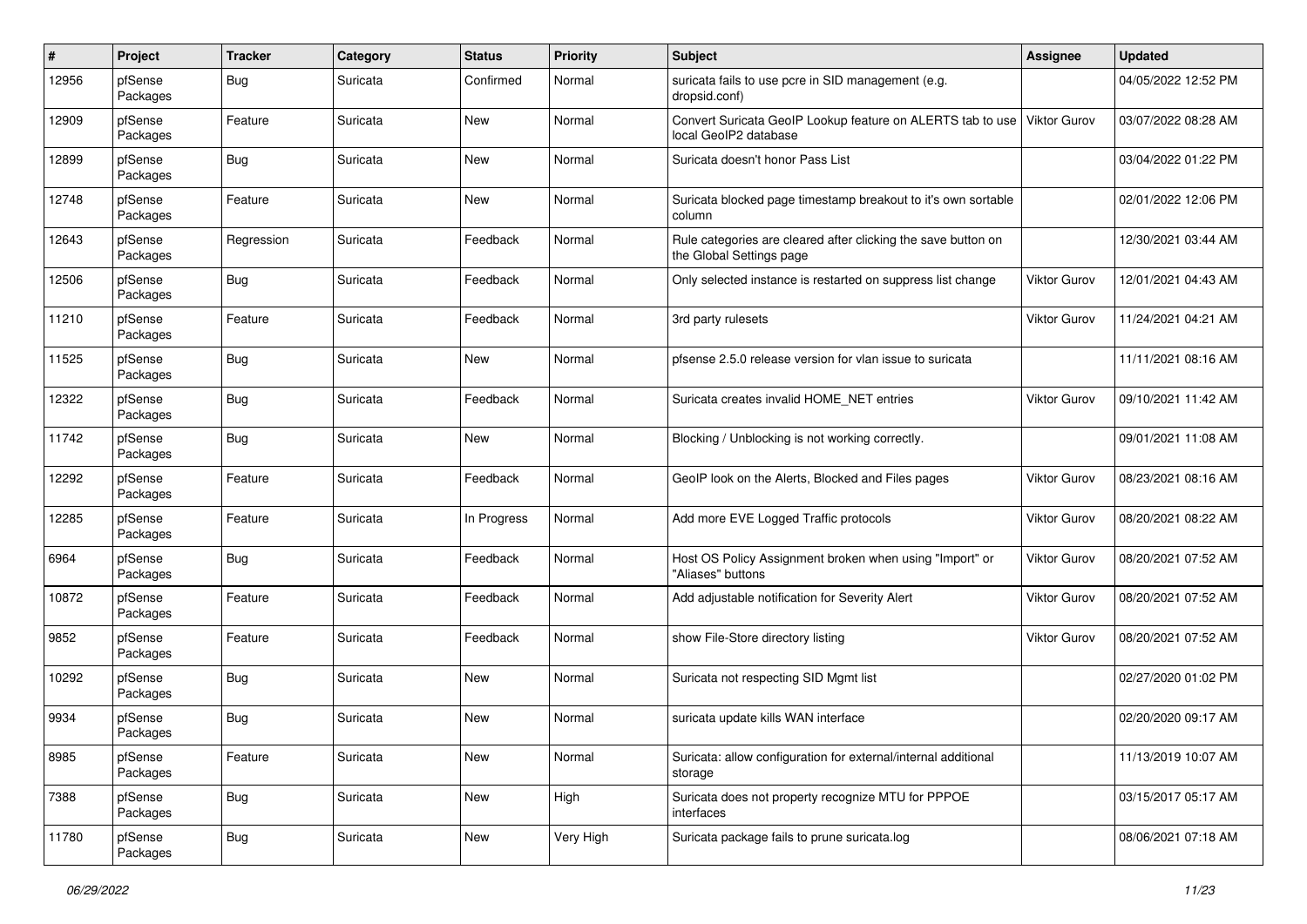| $\pmb{\#}$ | Project             | <b>Tracker</b> | Category | <b>Status</b> | <b>Priority</b> | <b>Subject</b>                                                                            | <b>Assignee</b>     | <b>Updated</b>      |
|------------|---------------------|----------------|----------|---------------|-----------------|-------------------------------------------------------------------------------------------|---------------------|---------------------|
| 12956      | pfSense<br>Packages | <b>Bug</b>     | Suricata | Confirmed     | Normal          | suricata fails to use pcre in SID management (e.g.<br>dropsid.conf)                       |                     | 04/05/2022 12:52 PM |
| 12909      | pfSense<br>Packages | Feature        | Suricata | New           | Normal          | Convert Suricata GeoIP Lookup feature on ALERTS tab to use<br>local GeoIP2 database       | <b>Viktor Gurov</b> | 03/07/2022 08:28 AM |
| 12899      | pfSense<br>Packages | <b>Bug</b>     | Suricata | New           | Normal          | Suricata doesn't honor Pass List                                                          |                     | 03/04/2022 01:22 PM |
| 12748      | pfSense<br>Packages | Feature        | Suricata | New           | Normal          | Suricata blocked page timestamp breakout to it's own sortable<br>column                   |                     | 02/01/2022 12:06 PM |
| 12643      | pfSense<br>Packages | Regression     | Suricata | Feedback      | Normal          | Rule categories are cleared after clicking the save button on<br>the Global Settings page |                     | 12/30/2021 03:44 AM |
| 12506      | pfSense<br>Packages | Bug            | Suricata | Feedback      | Normal          | Only selected instance is restarted on suppress list change                               | Viktor Gurov        | 12/01/2021 04:43 AM |
| 11210      | pfSense<br>Packages | Feature        | Suricata | Feedback      | Normal          | 3rd party rulesets                                                                        | <b>Viktor Gurov</b> | 11/24/2021 04:21 AM |
| 11525      | pfSense<br>Packages | <b>Bug</b>     | Suricata | New           | Normal          | pfsense 2.5.0 release version for vlan issue to suricata                                  |                     | 11/11/2021 08:16 AM |
| 12322      | pfSense<br>Packages | <b>Bug</b>     | Suricata | Feedback      | Normal          | Suricata creates invalid HOME_NET entries                                                 | <b>Viktor Gurov</b> | 09/10/2021 11:42 AM |
| 11742      | pfSense<br>Packages | <b>Bug</b>     | Suricata | New           | Normal          | Blocking / Unblocking is not working correctly.                                           |                     | 09/01/2021 11:08 AM |
| 12292      | pfSense<br>Packages | Feature        | Suricata | Feedback      | Normal          | GeoIP look on the Alerts, Blocked and Files pages                                         | Viktor Gurov        | 08/23/2021 08:16 AM |
| 12285      | pfSense<br>Packages | Feature        | Suricata | In Progress   | Normal          | Add more EVE Logged Traffic protocols                                                     | <b>Viktor Gurov</b> | 08/20/2021 08:22 AM |
| 6964       | pfSense<br>Packages | <b>Bug</b>     | Suricata | Feedback      | Normal          | Host OS Policy Assignment broken when using "Import" or<br>"Aliases" buttons              | Viktor Gurov        | 08/20/2021 07:52 AM |
| 10872      | pfSense<br>Packages | Feature        | Suricata | Feedback      | Normal          | Add adjustable notification for Severity Alert                                            | Viktor Gurov        | 08/20/2021 07:52 AM |
| 9852       | pfSense<br>Packages | Feature        | Suricata | Feedback      | Normal          | show File-Store directory listing                                                         | <b>Viktor Gurov</b> | 08/20/2021 07:52 AM |
| 10292      | pfSense<br>Packages | <b>Bug</b>     | Suricata | New           | Normal          | Suricata not respecting SID Mgmt list                                                     |                     | 02/27/2020 01:02 PM |
| 9934       | pfSense<br>Packages | <b>Bug</b>     | Suricata | New           | Normal          | suricata update kills WAN interface                                                       |                     | 02/20/2020 09:17 AM |
| 8985       | pfSense<br>Packages | Feature        | Suricata | New           | Normal          | Suricata: allow configuration for external/internal additional<br>storage                 |                     | 11/13/2019 10:07 AM |
| 7388       | pfSense<br>Packages | <b>Bug</b>     | Suricata | New           | High            | Suricata does not property recognize MTU for PPPOE<br>interfaces                          |                     | 03/15/2017 05:17 AM |
| 11780      | pfSense<br>Packages | Bug            | Suricata | New           | Very High       | Suricata package fails to prune suricata.log                                              |                     | 08/06/2021 07:18 AM |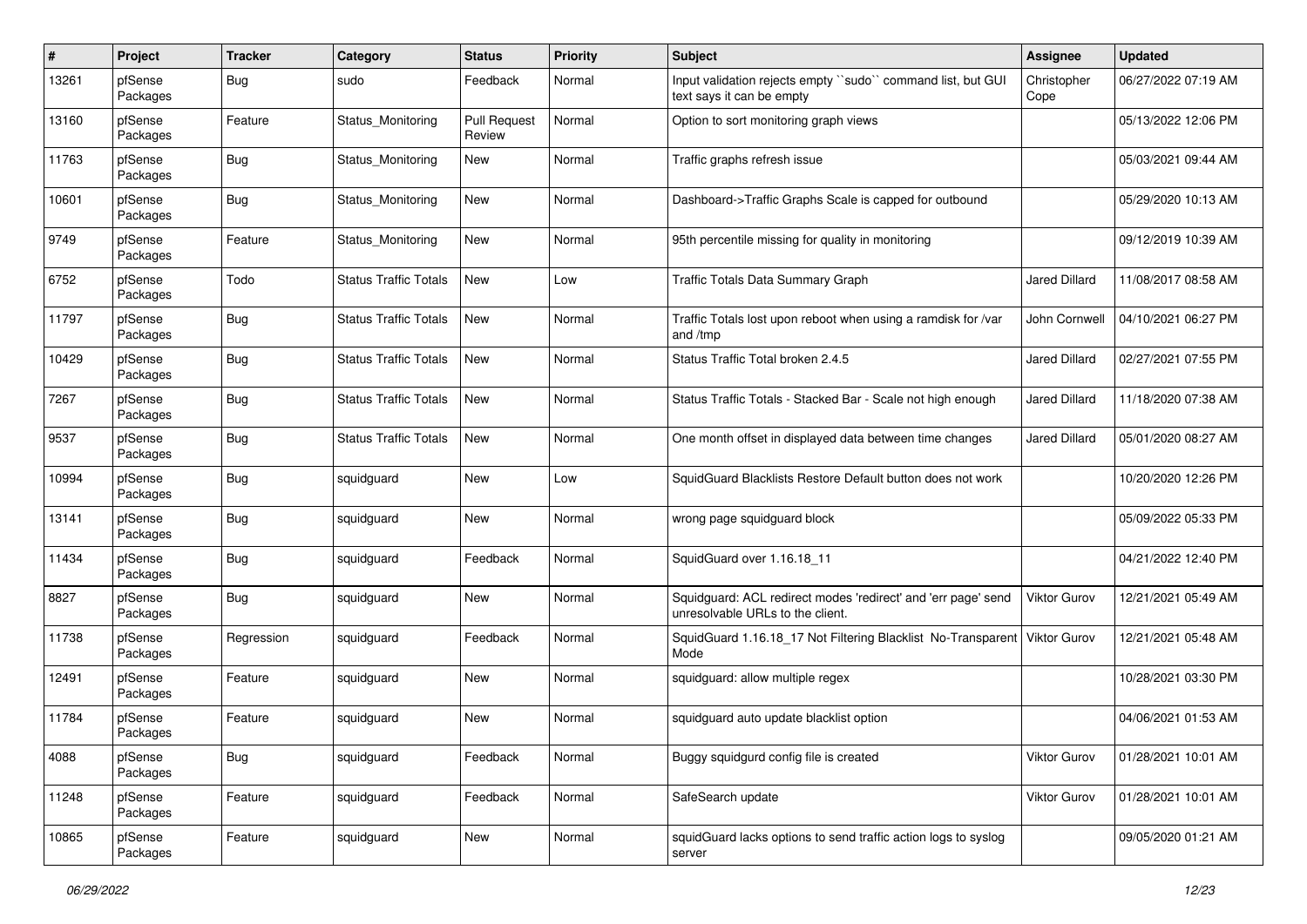| #     | Project             | <b>Tracker</b> | Category                     | <b>Status</b>                 | <b>Priority</b> | <b>Subject</b>                                                                                    | <b>Assignee</b>      | <b>Updated</b>      |
|-------|---------------------|----------------|------------------------------|-------------------------------|-----------------|---------------------------------------------------------------------------------------------------|----------------------|---------------------|
| 13261 | pfSense<br>Packages | <b>Bug</b>     | sudo                         | Feedback                      | Normal          | Input validation rejects empty "sudo" command list, but GUI<br>text says it can be empty          | Christopher<br>Cope  | 06/27/2022 07:19 AM |
| 13160 | pfSense<br>Packages | Feature        | Status Monitoring            | <b>Pull Request</b><br>Review | Normal          | Option to sort monitoring graph views                                                             |                      | 05/13/2022 12:06 PM |
| 11763 | pfSense<br>Packages | <b>Bug</b>     | Status Monitoring            | New                           | Normal          | Traffic graphs refresh issue                                                                      |                      | 05/03/2021 09:44 AM |
| 10601 | pfSense<br>Packages | <b>Bug</b>     | Status Monitoring            | New                           | Normal          | Dashboard->Traffic Graphs Scale is capped for outbound                                            |                      | 05/29/2020 10:13 AM |
| 9749  | pfSense<br>Packages | Feature        | Status_Monitoring            | New                           | Normal          | 95th percentile missing for quality in monitoring                                                 |                      | 09/12/2019 10:39 AM |
| 6752  | pfSense<br>Packages | Todo           | <b>Status Traffic Totals</b> | New                           | Low             | Traffic Totals Data Summary Graph                                                                 | <b>Jared Dillard</b> | 11/08/2017 08:58 AM |
| 11797 | pfSense<br>Packages | <b>Bug</b>     | <b>Status Traffic Totals</b> | New                           | Normal          | Traffic Totals lost upon reboot when using a ramdisk for /var<br>and /tmp                         | John Cornwell        | 04/10/2021 06:27 PM |
| 10429 | pfSense<br>Packages | <b>Bug</b>     | <b>Status Traffic Totals</b> | New                           | Normal          | Status Traffic Total broken 2.4.5                                                                 | <b>Jared Dillard</b> | 02/27/2021 07:55 PM |
| 7267  | pfSense<br>Packages | <b>Bug</b>     | <b>Status Traffic Totals</b> | New                           | Normal          | Status Traffic Totals - Stacked Bar - Scale not high enough                                       | Jared Dillard        | 11/18/2020 07:38 AM |
| 9537  | pfSense<br>Packages | <b>Bug</b>     | <b>Status Traffic Totals</b> | New                           | Normal          | One month offset in displayed data between time changes                                           | <b>Jared Dillard</b> | 05/01/2020 08:27 AM |
| 10994 | pfSense<br>Packages | <b>Bug</b>     | squidguard                   | New                           | Low             | SquidGuard Blacklists Restore Default button does not work                                        |                      | 10/20/2020 12:26 PM |
| 13141 | pfSense<br>Packages | <b>Bug</b>     | squidguard                   | New                           | Normal          | wrong page squidguard block                                                                       |                      | 05/09/2022 05:33 PM |
| 11434 | pfSense<br>Packages | <b>Bug</b>     | squidguard                   | Feedback                      | Normal          | SquidGuard over 1.16.18 11                                                                        |                      | 04/21/2022 12:40 PM |
| 8827  | pfSense<br>Packages | <b>Bug</b>     | squidguard                   | New                           | Normal          | Squidguard: ACL redirect modes 'redirect' and 'err page' send<br>unresolvable URLs to the client. | Viktor Gurov         | 12/21/2021 05:49 AM |
| 11738 | pfSense<br>Packages | Regression     | squidguard                   | Feedback                      | Normal          | SquidGuard 1.16.18_17 Not Filtering Blacklist No-Transparent<br>Mode                              | Viktor Gurov         | 12/21/2021 05:48 AM |
| 12491 | pfSense<br>Packages | Feature        | squidguard                   | New                           | Normal          | squidguard: allow multiple regex                                                                  |                      | 10/28/2021 03:30 PM |
| 11784 | pfSense<br>Packages | Feature        | squidguard                   | <b>New</b>                    | Normal          | squidguard auto update blacklist option                                                           |                      | 04/06/2021 01:53 AM |
| 4088  | pfSense<br>Packages | <b>Bug</b>     | squidguard                   | Feedback                      | Normal          | Buggy squidgurd config file is created                                                            | Viktor Gurov         | 01/28/2021 10:01 AM |
| 11248 | pfSense<br>Packages | Feature        | squidguard                   | Feedback                      | Normal          | SafeSearch update                                                                                 | Viktor Gurov         | 01/28/2021 10:01 AM |
| 10865 | pfSense<br>Packages | Feature        | squidguard                   | New                           | Normal          | squidGuard lacks options to send traffic action logs to syslog<br>server                          |                      | 09/05/2020 01:21 AM |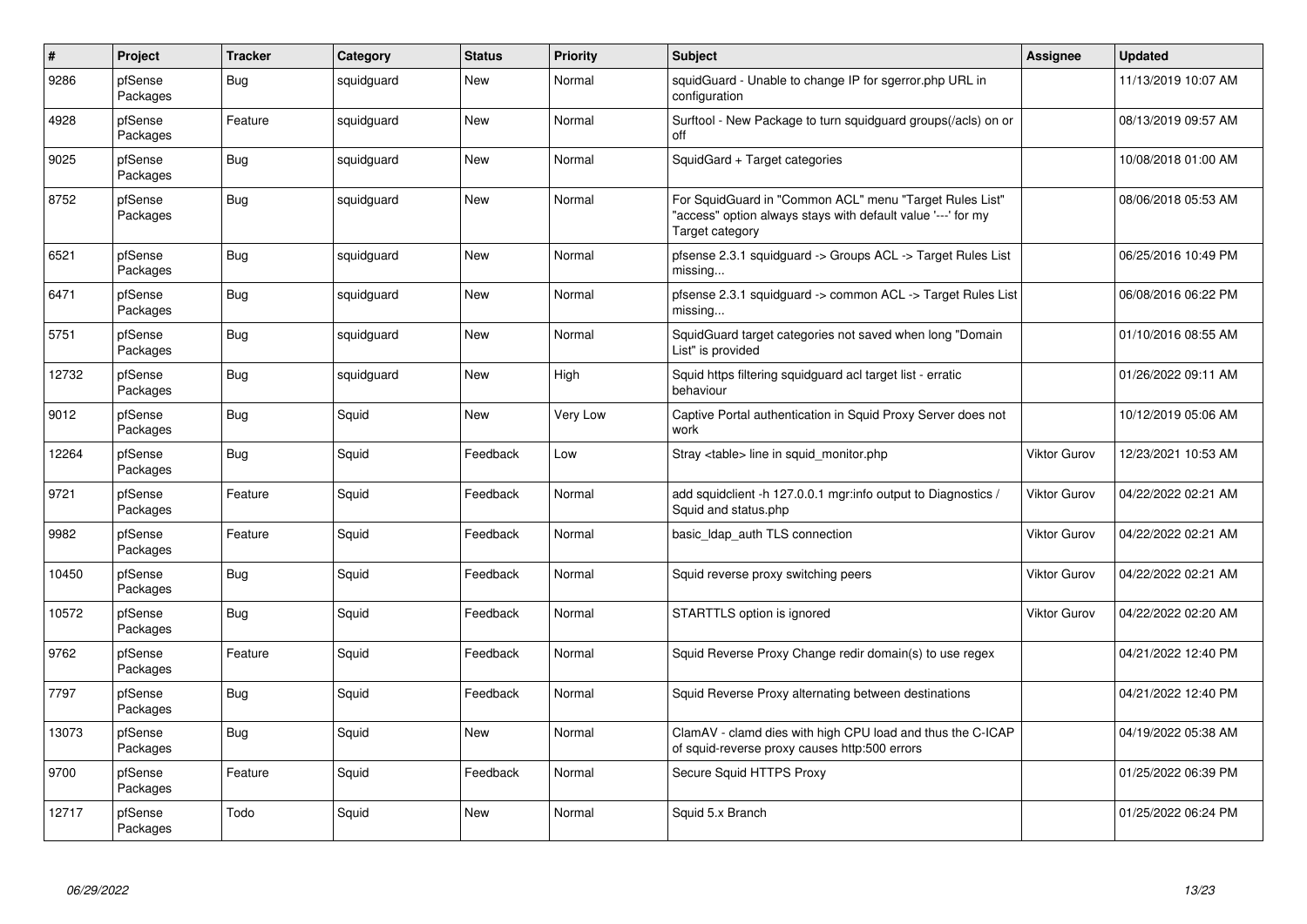| $\pmb{\#}$ | Project             | <b>Tracker</b> | Category   | <b>Status</b> | <b>Priority</b> | Subject                                                                                                                                    | <b>Assignee</b> | <b>Updated</b>      |
|------------|---------------------|----------------|------------|---------------|-----------------|--------------------------------------------------------------------------------------------------------------------------------------------|-----------------|---------------------|
| 9286       | pfSense<br>Packages | <b>Bug</b>     | squidguard | New           | Normal          | squidGuard - Unable to change IP for sgerror.php URL in<br>configuration                                                                   |                 | 11/13/2019 10:07 AM |
| 4928       | pfSense<br>Packages | Feature        | squidguard | New           | Normal          | Surftool - New Package to turn squidguard groups(/acls) on or<br>off                                                                       |                 | 08/13/2019 09:57 AM |
| 9025       | pfSense<br>Packages | Bug            | squidguard | New           | Normal          | SquidGard + Target categories                                                                                                              |                 | 10/08/2018 01:00 AM |
| 8752       | pfSense<br>Packages | Bug            | squidguard | <b>New</b>    | Normal          | For SquidGuard in "Common ACL" menu "Target Rules List"<br>'access" option always stays with default value '---' for my<br>Target category |                 | 08/06/2018 05:53 AM |
| 6521       | pfSense<br>Packages | Bug            | squidguard | <b>New</b>    | Normal          | pfsense 2.3.1 squidguard -> Groups ACL -> Target Rules List<br>missing                                                                     |                 | 06/25/2016 10:49 PM |
| 6471       | pfSense<br>Packages | Bug            | squidguard | New           | Normal          | pfsense 2.3.1 squidguard -> common ACL -> Target Rules List<br>missing                                                                     |                 | 06/08/2016 06:22 PM |
| 5751       | pfSense<br>Packages | Bug            | squidguard | New           | Normal          | SquidGuard target categories not saved when long "Domain<br>List" is provided                                                              |                 | 01/10/2016 08:55 AM |
| 12732      | pfSense<br>Packages | Bug            | squidguard | New           | High            | Squid https filtering squidguard acl target list - erratic<br>behaviour                                                                    |                 | 01/26/2022 09:11 AM |
| 9012       | pfSense<br>Packages | <b>Bug</b>     | Squid      | <b>New</b>    | <b>Very Low</b> | Captive Portal authentication in Squid Proxy Server does not<br>work                                                                       |                 | 10/12/2019 05:06 AM |
| 12264      | pfSense<br>Packages | Bug            | Squid      | Feedback      | Low             | Stray <table> line in squid monitor.php</table>                                                                                            | Viktor Gurov    | 12/23/2021 10:53 AM |
| 9721       | pfSense<br>Packages | Feature        | Squid      | Feedback      | Normal          | add squidclient -h 127.0.0.1 mgr:info output to Diagnostics /<br>Squid and status.php                                                      | Viktor Gurov    | 04/22/2022 02:21 AM |
| 9982       | pfSense<br>Packages | Feature        | Squid      | Feedback      | Normal          | basic Idap auth TLS connection                                                                                                             | Viktor Gurov    | 04/22/2022 02:21 AM |
| 10450      | pfSense<br>Packages | Bug            | Squid      | Feedback      | Normal          | Squid reverse proxy switching peers                                                                                                        | Viktor Gurov    | 04/22/2022 02:21 AM |
| 10572      | pfSense<br>Packages | Bug            | Squid      | Feedback      | Normal          | STARTTLS option is ignored                                                                                                                 | Viktor Gurov    | 04/22/2022 02:20 AM |
| 9762       | pfSense<br>Packages | Feature        | Squid      | Feedback      | Normal          | Squid Reverse Proxy Change redir domain(s) to use regex                                                                                    |                 | 04/21/2022 12:40 PM |
| 7797       | pfSense<br>Packages | Bug            | Squid      | Feedback      | Normal          | Squid Reverse Proxy alternating between destinations                                                                                       |                 | 04/21/2022 12:40 PM |
| 13073      | pfSense<br>Packages | Bug            | Squid      | New           | Normal          | ClamAV - clamd dies with high CPU load and thus the C-ICAP<br>of squid-reverse proxy causes http:500 errors                                |                 | 04/19/2022 05:38 AM |
| 9700       | pfSense<br>Packages | Feature        | Squid      | Feedback      | Normal          | Secure Squid HTTPS Proxy                                                                                                                   |                 | 01/25/2022 06:39 PM |
| 12717      | pfSense<br>Packages | Todo           | Squid      | New           | Normal          | Squid 5.x Branch                                                                                                                           |                 | 01/25/2022 06:24 PM |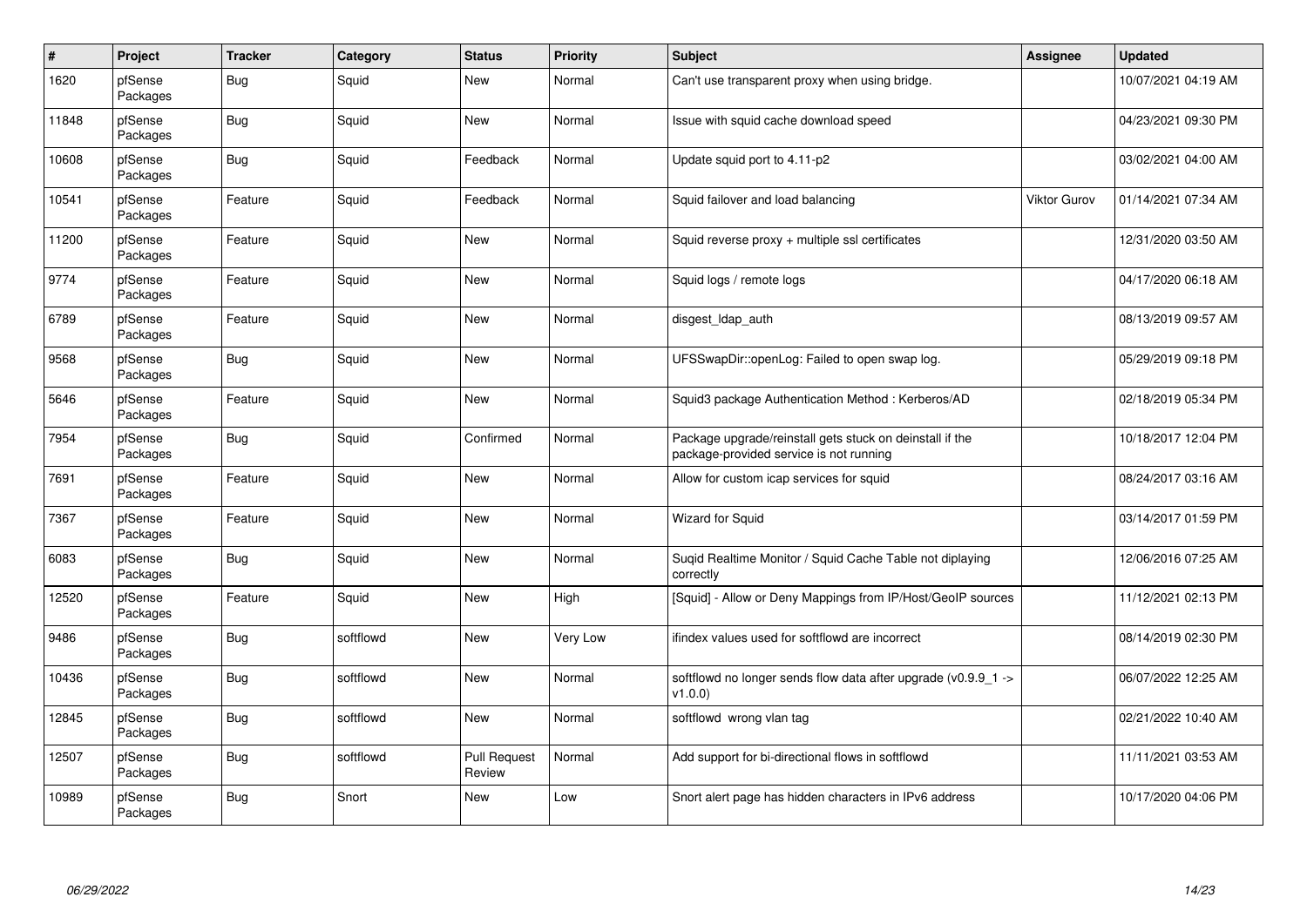| $\vert$ # | Project             | <b>Tracker</b> | Category  | <b>Status</b>                 | <b>Priority</b> | <b>Subject</b>                                                                                      | Assignee            | <b>Updated</b>      |
|-----------|---------------------|----------------|-----------|-------------------------------|-----------------|-----------------------------------------------------------------------------------------------------|---------------------|---------------------|
| 1620      | pfSense<br>Packages | <b>Bug</b>     | Squid     | New                           | Normal          | Can't use transparent proxy when using bridge.                                                      |                     | 10/07/2021 04:19 AM |
| 11848     | pfSense<br>Packages | <b>Bug</b>     | Squid     | New                           | Normal          | Issue with squid cache download speed                                                               |                     | 04/23/2021 09:30 PM |
| 10608     | pfSense<br>Packages | Bug            | Squid     | Feedback                      | Normal          | Update squid port to 4.11-p2                                                                        |                     | 03/02/2021 04:00 AM |
| 10541     | pfSense<br>Packages | Feature        | Squid     | Feedback                      | Normal          | Squid failover and load balancing                                                                   | <b>Viktor Gurov</b> | 01/14/2021 07:34 AM |
| 11200     | pfSense<br>Packages | Feature        | Squid     | New                           | Normal          | Squid reverse proxy + multiple ssl certificates                                                     |                     | 12/31/2020 03:50 AM |
| 9774      | pfSense<br>Packages | Feature        | Squid     | <b>New</b>                    | Normal          | Squid logs / remote logs                                                                            |                     | 04/17/2020 06:18 AM |
| 6789      | pfSense<br>Packages | Feature        | Squid     | New                           | Normal          | disgest Idap auth                                                                                   |                     | 08/13/2019 09:57 AM |
| 9568      | pfSense<br>Packages | <b>Bug</b>     | Squid     | New                           | Normal          | UFSSwapDir::openLog: Failed to open swap log.                                                       |                     | 05/29/2019 09:18 PM |
| 5646      | pfSense<br>Packages | Feature        | Squid     | New                           | Normal          | Squid3 package Authentication Method: Kerberos/AD                                                   |                     | 02/18/2019 05:34 PM |
| 7954      | pfSense<br>Packages | Bug            | Squid     | Confirmed                     | Normal          | Package upgrade/reinstall gets stuck on deinstall if the<br>package-provided service is not running |                     | 10/18/2017 12:04 PM |
| 7691      | pfSense<br>Packages | Feature        | Squid     | <b>New</b>                    | Normal          | Allow for custom icap services for squid                                                            |                     | 08/24/2017 03:16 AM |
| 7367      | pfSense<br>Packages | Feature        | Squid     | New                           | Normal          | <b>Wizard for Squid</b>                                                                             |                     | 03/14/2017 01:59 PM |
| 6083      | pfSense<br>Packages | <b>Bug</b>     | Squid     | New                           | Normal          | Suqid Realtime Monitor / Squid Cache Table not diplaying<br>correctly                               |                     | 12/06/2016 07:25 AM |
| 12520     | pfSense<br>Packages | Feature        | Squid     | New                           | High            | [Squid] - Allow or Deny Mappings from IP/Host/GeoIP sources                                         |                     | 11/12/2021 02:13 PM |
| 9486      | pfSense<br>Packages | <b>Bug</b>     | softflowd | New                           | Very Low        | ifindex values used for softflowd are incorrect                                                     |                     | 08/14/2019 02:30 PM |
| 10436     | pfSense<br>Packages | Bug            | softflowd | <b>New</b>                    | Normal          | softflowd no longer sends flow data after upgrade ( $v0.9.9$ 1 -><br>v1.0.0                         |                     | 06/07/2022 12:25 AM |
| 12845     | pfSense<br>Packages | <b>Bug</b>     | softflowd | New                           | Normal          | softflowd wrong vlan tag                                                                            |                     | 02/21/2022 10:40 AM |
| 12507     | pfSense<br>Packages | <b>Bug</b>     | softflowd | <b>Pull Request</b><br>Review | Normal          | Add support for bi-directional flows in softflowd                                                   |                     | 11/11/2021 03:53 AM |
| 10989     | pfSense<br>Packages | <b>Bug</b>     | Snort     | New                           | Low             | Snort alert page has hidden characters in IPv6 address                                              |                     | 10/17/2020 04:06 PM |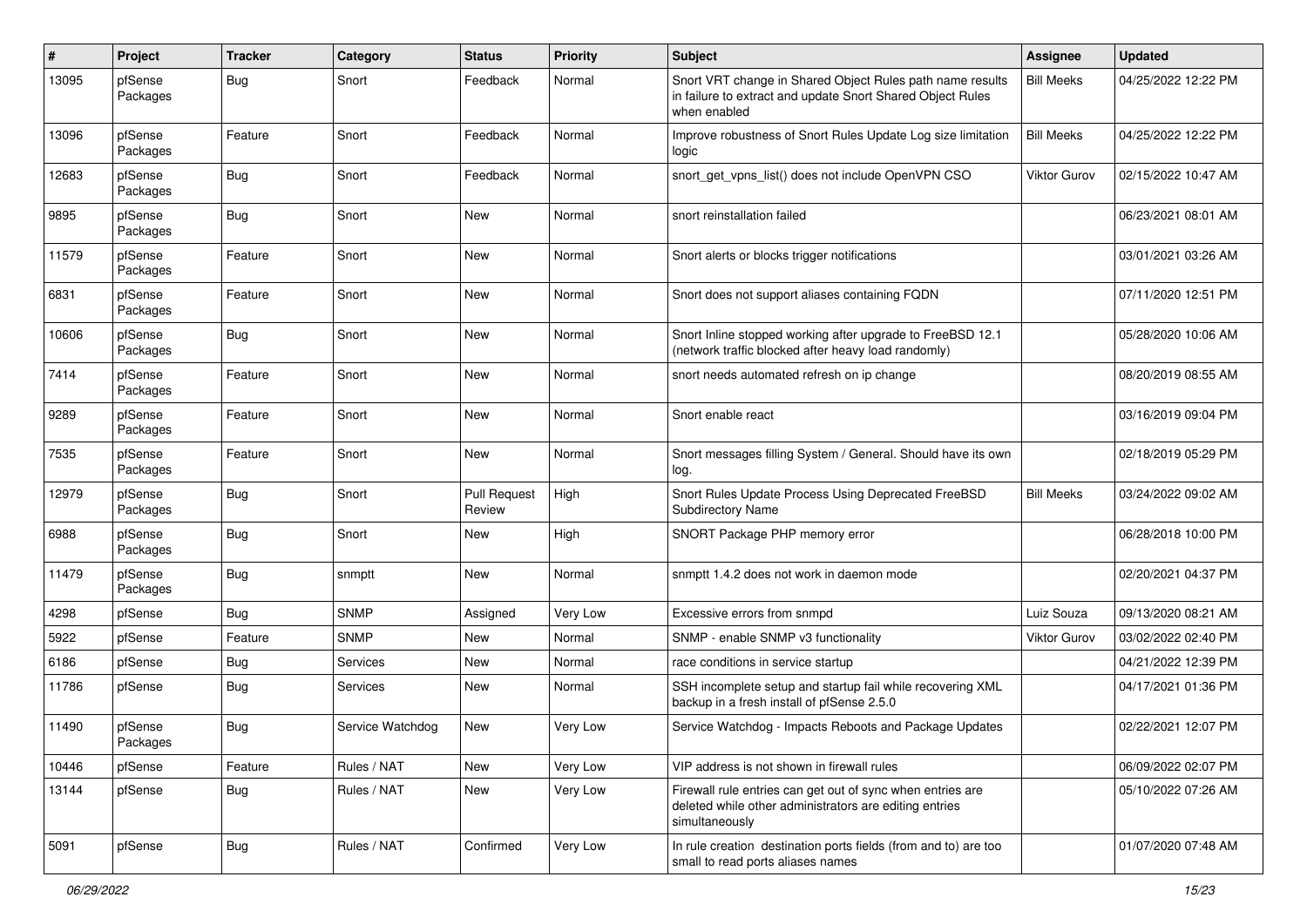| #     | Project             | <b>Tracker</b> | Category         | <b>Status</b>                 | <b>Priority</b> | <b>Subject</b>                                                                                                                          | <b>Assignee</b>   | <b>Updated</b>      |
|-------|---------------------|----------------|------------------|-------------------------------|-----------------|-----------------------------------------------------------------------------------------------------------------------------------------|-------------------|---------------------|
| 13095 | pfSense<br>Packages | <b>Bug</b>     | Snort            | Feedback                      | Normal          | Snort VRT change in Shared Object Rules path name results<br>in failure to extract and update Snort Shared Object Rules<br>when enabled | <b>Bill Meeks</b> | 04/25/2022 12:22 PM |
| 13096 | pfSense<br>Packages | Feature        | Snort            | Feedback                      | Normal          | Improve robustness of Snort Rules Update Log size limitation<br>logic                                                                   | <b>Bill Meeks</b> | 04/25/2022 12:22 PM |
| 12683 | pfSense<br>Packages | <b>Bug</b>     | Snort            | Feedback                      | Normal          | snort_get_vpns_list() does not include OpenVPN CSO                                                                                      | Viktor Gurov      | 02/15/2022 10:47 AM |
| 9895  | pfSense<br>Packages | <b>Bug</b>     | Snort            | New                           | Normal          | snort reinstallation failed                                                                                                             |                   | 06/23/2021 08:01 AM |
| 11579 | pfSense<br>Packages | Feature        | Snort            | New                           | Normal          | Snort alerts or blocks trigger notifications                                                                                            |                   | 03/01/2021 03:26 AM |
| 6831  | pfSense<br>Packages | Feature        | Snort            | New                           | Normal          | Snort does not support aliases containing FQDN                                                                                          |                   | 07/11/2020 12:51 PM |
| 10606 | pfSense<br>Packages | <b>Bug</b>     | Snort            | New                           | Normal          | Snort Inline stopped working after upgrade to FreeBSD 12.1<br>(network traffic blocked after heavy load randomly)                       |                   | 05/28/2020 10:06 AM |
| 7414  | pfSense<br>Packages | Feature        | Snort            | New                           | Normal          | snort needs automated refresh on ip change                                                                                              |                   | 08/20/2019 08:55 AM |
| 9289  | pfSense<br>Packages | Feature        | Snort            | New                           | Normal          | Snort enable react                                                                                                                      |                   | 03/16/2019 09:04 PM |
| 7535  | pfSense<br>Packages | Feature        | Snort            | New                           | Normal          | Snort messages filling System / General. Should have its own<br>log.                                                                    |                   | 02/18/2019 05:29 PM |
| 12979 | pfSense<br>Packages | <b>Bug</b>     | Snort            | <b>Pull Request</b><br>Review | High            | Snort Rules Update Process Using Deprecated FreeBSD<br><b>Subdirectory Name</b>                                                         | <b>Bill Meeks</b> | 03/24/2022 09:02 AM |
| 6988  | pfSense<br>Packages | <b>Bug</b>     | Snort            | New                           | High            | SNORT Package PHP memory error                                                                                                          |                   | 06/28/2018 10:00 PM |
| 11479 | pfSense<br>Packages | <b>Bug</b>     | snmptt           | New                           | Normal          | snmptt 1.4.2 does not work in daemon mode                                                                                               |                   | 02/20/2021 04:37 PM |
| 4298  | pfSense             | Bug            | <b>SNMP</b>      | Assigned                      | Very Low        | Excessive errors from snmpd                                                                                                             | Luiz Souza        | 09/13/2020 08:21 AM |
| 5922  | pfSense             | Feature        | <b>SNMP</b>      | New                           | Normal          | SNMP - enable SNMP v3 functionality                                                                                                     | Viktor Gurov      | 03/02/2022 02:40 PM |
| 6186  | pfSense             | <b>Bug</b>     | Services         | New                           | Normal          | race conditions in service startup                                                                                                      |                   | 04/21/2022 12:39 PM |
| 11786 | pfSense             | <b>Bug</b>     | Services         | New                           | Normal          | SSH incomplete setup and startup fail while recovering XML<br>backup in a fresh install of pfSense 2.5.0                                |                   | 04/17/2021 01:36 PM |
| 11490 | pfSense<br>Packages | Bug            | Service Watchdog | New                           | <b>Very Low</b> | Service Watchdog - Impacts Reboots and Package Updates                                                                                  |                   | 02/22/2021 12:07 PM |
| 10446 | pfSense             | Feature        | Rules / NAT      | New                           | Very Low        | VIP address is not shown in firewall rules                                                                                              |                   | 06/09/2022 02:07 PM |
| 13144 | pfSense             | Bug            | Rules / NAT      | New                           | Very Low        | Firewall rule entries can get out of sync when entries are<br>deleted while other administrators are editing entries<br>simultaneously  |                   | 05/10/2022 07:26 AM |
| 5091  | pfSense             | <b>Bug</b>     | Rules / NAT      | Confirmed                     | Very Low        | In rule creation destination ports fields (from and to) are too<br>small to read ports aliases names                                    |                   | 01/07/2020 07:48 AM |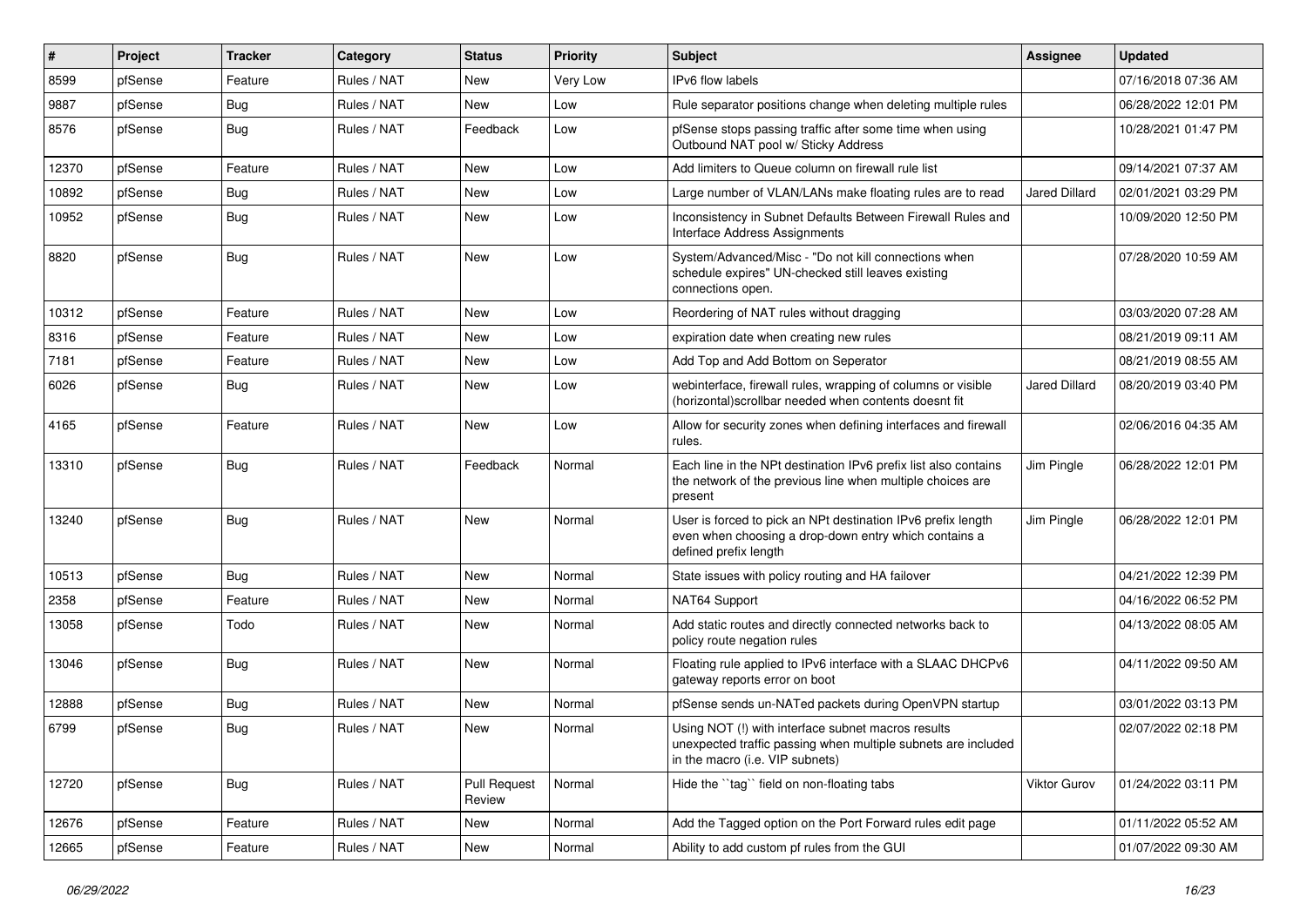| $\vert$ # | Project | <b>Tracker</b> | Category    | <b>Status</b>                 | <b>Priority</b> | <b>Subject</b>                                                                                                                                         | <b>Assignee</b>      | <b>Updated</b>      |
|-----------|---------|----------------|-------------|-------------------------------|-----------------|--------------------------------------------------------------------------------------------------------------------------------------------------------|----------------------|---------------------|
| 8599      | pfSense | Feature        | Rules / NAT | New                           | Very Low        | IPv6 flow labels                                                                                                                                       |                      | 07/16/2018 07:36 AM |
| 9887      | pfSense | <b>Bug</b>     | Rules / NAT | New                           | Low             | Rule separator positions change when deleting multiple rules                                                                                           |                      | 06/28/2022 12:01 PM |
| 8576      | pfSense | <b>Bug</b>     | Rules / NAT | Feedback                      | Low             | pfSense stops passing traffic after some time when using<br>Outbound NAT pool w/ Sticky Address                                                        |                      | 10/28/2021 01:47 PM |
| 12370     | pfSense | Feature        | Rules / NAT | New                           | Low             | Add limiters to Queue column on firewall rule list                                                                                                     |                      | 09/14/2021 07:37 AM |
| 10892     | pfSense | <b>Bug</b>     | Rules / NAT | New                           | Low             | Large number of VLAN/LANs make floating rules are to read                                                                                              | Jared Dillard        | 02/01/2021 03:29 PM |
| 10952     | pfSense | <b>Bug</b>     | Rules / NAT | New                           | Low             | Inconsistency in Subnet Defaults Between Firewall Rules and<br>Interface Address Assignments                                                           |                      | 10/09/2020 12:50 PM |
| 8820      | pfSense | <b>Bug</b>     | Rules / NAT | New                           | Low             | System/Advanced/Misc - "Do not kill connections when<br>schedule expires" UN-checked still leaves existing<br>connections open.                        |                      | 07/28/2020 10:59 AM |
| 10312     | pfSense | Feature        | Rules / NAT | New                           | Low             | Reordering of NAT rules without dragging                                                                                                               |                      | 03/03/2020 07:28 AM |
| 8316      | pfSense | Feature        | Rules / NAT | New                           | Low             | expiration date when creating new rules                                                                                                                |                      | 08/21/2019 09:11 AM |
| 7181      | pfSense | Feature        | Rules / NAT | New                           | Low             | Add Top and Add Bottom on Seperator                                                                                                                    |                      | 08/21/2019 08:55 AM |
| 6026      | pfSense | Bug            | Rules / NAT | New                           | Low             | webinterface, firewall rules, wrapping of columns or visible<br>(horizontal) scrollbar needed when contents doesnt fit                                 | <b>Jared Dillard</b> | 08/20/2019 03:40 PM |
| 4165      | pfSense | Feature        | Rules / NAT | New                           | Low             | Allow for security zones when defining interfaces and firewall<br>rules.                                                                               |                      | 02/06/2016 04:35 AM |
| 13310     | pfSense | <b>Bug</b>     | Rules / NAT | Feedback                      | Normal          | Each line in the NPt destination IPv6 prefix list also contains<br>the network of the previous line when multiple choices are<br>present               | Jim Pingle           | 06/28/2022 12:01 PM |
| 13240     | pfSense | <b>Bug</b>     | Rules / NAT | New                           | Normal          | User is forced to pick an NPt destination IPv6 prefix length<br>even when choosing a drop-down entry which contains a<br>defined prefix length         | Jim Pingle           | 06/28/2022 12:01 PM |
| 10513     | pfSense | Bug            | Rules / NAT | New                           | Normal          | State issues with policy routing and HA failover                                                                                                       |                      | 04/21/2022 12:39 PM |
| 2358      | pfSense | Feature        | Rules / NAT | New                           | Normal          | NAT64 Support                                                                                                                                          |                      | 04/16/2022 06:52 PM |
| 13058     | pfSense | Todo           | Rules / NAT | New                           | Normal          | Add static routes and directly connected networks back to<br>policy route negation rules                                                               |                      | 04/13/2022 08:05 AM |
| 13046     | pfSense | <b>Bug</b>     | Rules / NAT | New                           | Normal          | Floating rule applied to IPv6 interface with a SLAAC DHCPv6<br>gateway reports error on boot                                                           |                      | 04/11/2022 09:50 AM |
| 12888     | pfSense | <b>Bug</b>     | Rules / NAT | New                           | Normal          | pfSense sends un-NATed packets during OpenVPN startup                                                                                                  |                      | 03/01/2022 03:13 PM |
| 6799      | pfSense | <b>Bug</b>     | Rules / NAT | New                           | Normal          | Using NOT (!) with interface subnet macros results<br>unexpected traffic passing when multiple subnets are included<br>in the macro (i.e. VIP subnets) |                      | 02/07/2022 02:18 PM |
| 12720     | pfSense | i Bug          | Rules / NAT | <b>Pull Request</b><br>Review | Normal          | Hide the "tag" field on non-floating tabs                                                                                                              | <b>Viktor Gurov</b>  | 01/24/2022 03:11 PM |
| 12676     | pfSense | Feature        | Rules / NAT | New                           | Normal          | Add the Tagged option on the Port Forward rules edit page                                                                                              |                      | 01/11/2022 05:52 AM |
| 12665     | pfSense | Feature        | Rules / NAT | New                           | Normal          | Ability to add custom pf rules from the GUI                                                                                                            |                      | 01/07/2022 09:30 AM |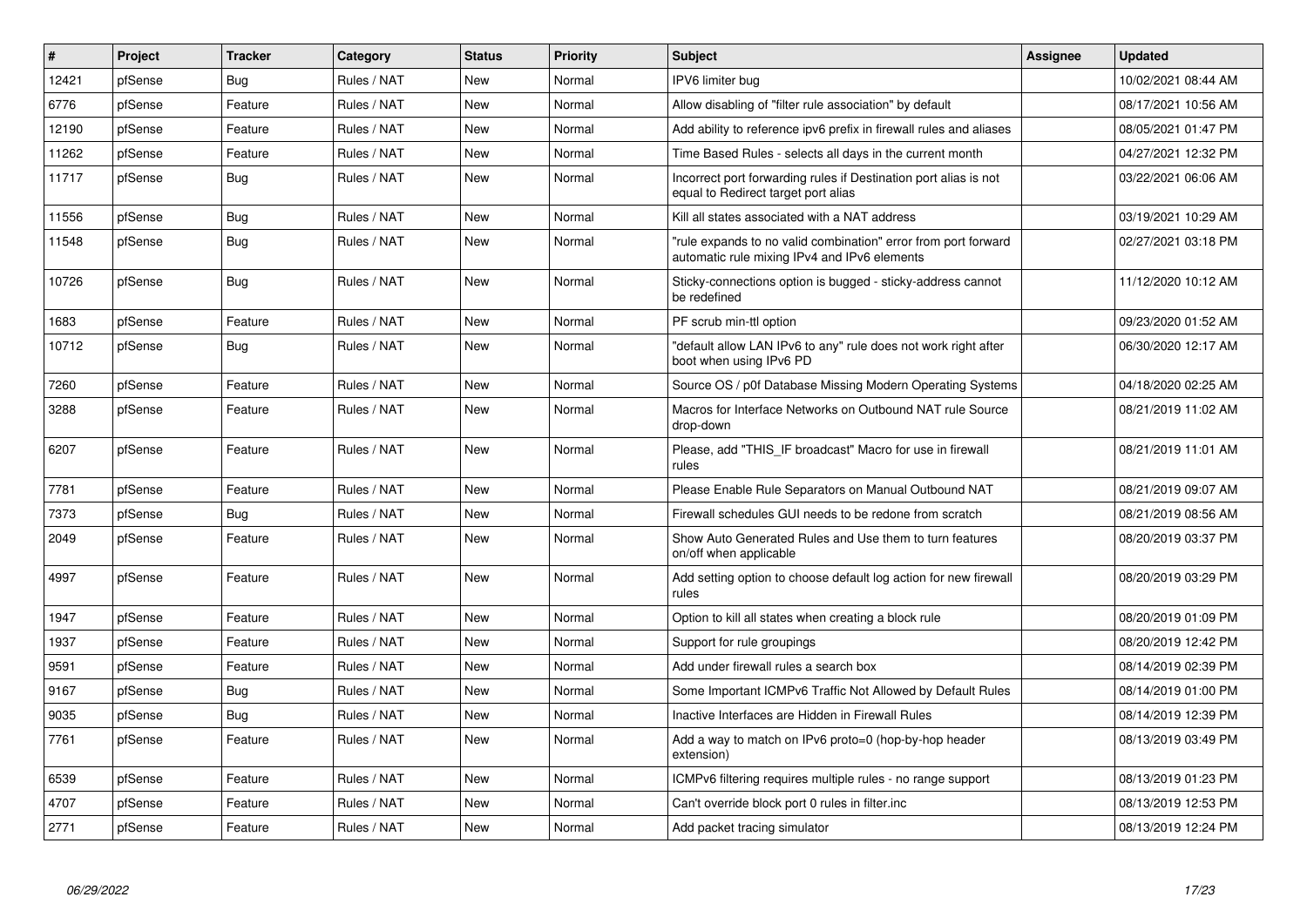| #     | Project | <b>Tracker</b> | Category    | <b>Status</b> | Priority | <b>Subject</b>                                                                                                 | <b>Assignee</b> | <b>Updated</b>      |
|-------|---------|----------------|-------------|---------------|----------|----------------------------------------------------------------------------------------------------------------|-----------------|---------------------|
| 12421 | pfSense | <b>Bug</b>     | Rules / NAT | New           | Normal   | IPV6 limiter bug                                                                                               |                 | 10/02/2021 08:44 AM |
| 6776  | pfSense | Feature        | Rules / NAT | New           | Normal   | Allow disabling of "filter rule association" by default                                                        |                 | 08/17/2021 10:56 AM |
| 12190 | pfSense | Feature        | Rules / NAT | New           | Normal   | Add ability to reference ipv6 prefix in firewall rules and aliases                                             |                 | 08/05/2021 01:47 PM |
| 11262 | pfSense | Feature        | Rules / NAT | New           | Normal   | Time Based Rules - selects all days in the current month                                                       |                 | 04/27/2021 12:32 PM |
| 11717 | pfSense | Bug            | Rules / NAT | New           | Normal   | Incorrect port forwarding rules if Destination port alias is not<br>equal to Redirect target port alias        |                 | 03/22/2021 06:06 AM |
| 11556 | pfSense | Bug            | Rules / NAT | New           | Normal   | Kill all states associated with a NAT address                                                                  |                 | 03/19/2021 10:29 AM |
| 11548 | pfSense | <b>Bug</b>     | Rules / NAT | New           | Normal   | "rule expands to no valid combination" error from port forward<br>automatic rule mixing IPv4 and IPv6 elements |                 | 02/27/2021 03:18 PM |
| 10726 | pfSense | Bug            | Rules / NAT | New           | Normal   | Sticky-connections option is bugged - sticky-address cannot<br>be redefined                                    |                 | 11/12/2020 10:12 AM |
| 1683  | pfSense | Feature        | Rules / NAT | New           | Normal   | PF scrub min-ttl option                                                                                        |                 | 09/23/2020 01:52 AM |
| 10712 | pfSense | <b>Bug</b>     | Rules / NAT | New           | Normal   | "default allow LAN IPv6 to any" rule does not work right after<br>boot when using IPv6 PD                      |                 | 06/30/2020 12:17 AM |
| 7260  | pfSense | Feature        | Rules / NAT | New           | Normal   | Source OS / p0f Database Missing Modern Operating Systems                                                      |                 | 04/18/2020 02:25 AM |
| 3288  | pfSense | Feature        | Rules / NAT | New           | Normal   | Macros for Interface Networks on Outbound NAT rule Source<br>drop-down                                         |                 | 08/21/2019 11:02 AM |
| 6207  | pfSense | Feature        | Rules / NAT | New           | Normal   | Please, add "THIS IF broadcast" Macro for use in firewall<br>rules                                             |                 | 08/21/2019 11:01 AM |
| 7781  | pfSense | Feature        | Rules / NAT | New           | Normal   | Please Enable Rule Separators on Manual Outbound NAT                                                           |                 | 08/21/2019 09:07 AM |
| 7373  | pfSense | Bug            | Rules / NAT | New           | Normal   | Firewall schedules GUI needs to be redone from scratch                                                         |                 | 08/21/2019 08:56 AM |
| 2049  | pfSense | Feature        | Rules / NAT | New           | Normal   | Show Auto Generated Rules and Use them to turn features<br>on/off when applicable                              |                 | 08/20/2019 03:37 PM |
| 4997  | pfSense | Feature        | Rules / NAT | New           | Normal   | Add setting option to choose default log action for new firewall<br>rules                                      |                 | 08/20/2019 03:29 PM |
| 1947  | pfSense | Feature        | Rules / NAT | New           | Normal   | Option to kill all states when creating a block rule                                                           |                 | 08/20/2019 01:09 PM |
| 1937  | pfSense | Feature        | Rules / NAT | New           | Normal   | Support for rule groupings                                                                                     |                 | 08/20/2019 12:42 PM |
| 9591  | pfSense | Feature        | Rules / NAT | New           | Normal   | Add under firewall rules a search box                                                                          |                 | 08/14/2019 02:39 PM |
| 9167  | pfSense | <b>Bug</b>     | Rules / NAT | New           | Normal   | Some Important ICMPv6 Traffic Not Allowed by Default Rules                                                     |                 | 08/14/2019 01:00 PM |
| 9035  | pfSense | Bug            | Rules / NAT | New           | Normal   | Inactive Interfaces are Hidden in Firewall Rules                                                               |                 | 08/14/2019 12:39 PM |
| 7761  | pfSense | Feature        | Rules / NAT | New           | Normal   | Add a way to match on IPv6 proto=0 (hop-by-hop header<br>extension)                                            |                 | 08/13/2019 03:49 PM |
| 6539  | pfSense | Feature        | Rules / NAT | New           | Normal   | ICMPv6 filtering requires multiple rules - no range support                                                    |                 | 08/13/2019 01:23 PM |
| 4707  | pfSense | Feature        | Rules / NAT | New           | Normal   | Can't override block port 0 rules in filter.inc                                                                |                 | 08/13/2019 12:53 PM |
| 2771  | pfSense | Feature        | Rules / NAT | New           | Normal   | Add packet tracing simulator                                                                                   |                 | 08/13/2019 12:24 PM |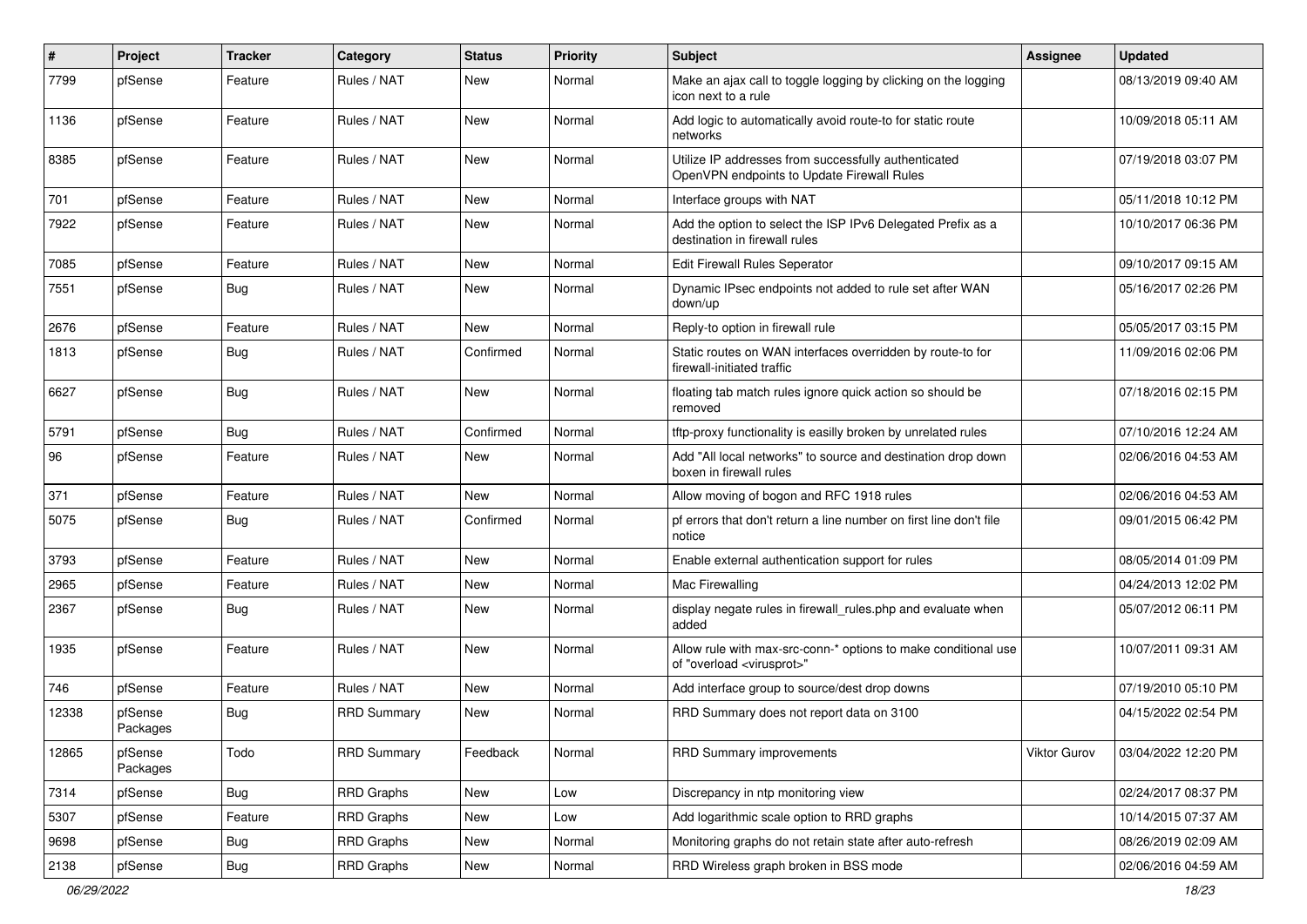| $\sharp$ | Project             | <b>Tracker</b> | Category           | <b>Status</b> | <b>Priority</b> | <b>Subject</b>                                                                                          | Assignee     | <b>Updated</b>      |
|----------|---------------------|----------------|--------------------|---------------|-----------------|---------------------------------------------------------------------------------------------------------|--------------|---------------------|
| 7799     | pfSense             | Feature        | Rules / NAT        | New           | Normal          | Make an ajax call to toggle logging by clicking on the logging<br>icon next to a rule                   |              | 08/13/2019 09:40 AM |
| 1136     | pfSense             | Feature        | Rules / NAT        | New           | Normal          | Add logic to automatically avoid route-to for static route<br>networks                                  |              | 10/09/2018 05:11 AM |
| 8385     | pfSense             | Feature        | Rules / NAT        | <b>New</b>    | Normal          | Utilize IP addresses from successfully authenticated<br>OpenVPN endpoints to Update Firewall Rules      |              | 07/19/2018 03:07 PM |
| 701      | pfSense             | Feature        | Rules / NAT        | New           | Normal          | Interface groups with NAT                                                                               |              | 05/11/2018 10:12 PM |
| 7922     | pfSense             | Feature        | Rules / NAT        | New           | Normal          | Add the option to select the ISP IPv6 Delegated Prefix as a<br>destination in firewall rules            |              | 10/10/2017 06:36 PM |
| 7085     | pfSense             | Feature        | Rules / NAT        | New           | Normal          | Edit Firewall Rules Seperator                                                                           |              | 09/10/2017 09:15 AM |
| 7551     | pfSense             | <b>Bug</b>     | Rules / NAT        | New           | Normal          | Dynamic IPsec endpoints not added to rule set after WAN<br>down/up                                      |              | 05/16/2017 02:26 PM |
| 2676     | pfSense             | Feature        | Rules / NAT        | <b>New</b>    | Normal          | Reply-to option in firewall rule                                                                        |              | 05/05/2017 03:15 PM |
| 1813     | pfSense             | Bug            | Rules / NAT        | Confirmed     | Normal          | Static routes on WAN interfaces overridden by route-to for<br>firewall-initiated traffic                |              | 11/09/2016 02:06 PM |
| 6627     | pfSense             | <b>Bug</b>     | Rules / NAT        | New           | Normal          | floating tab match rules ignore quick action so should be<br>removed                                    |              | 07/18/2016 02:15 PM |
| 5791     | pfSense             | <b>Bug</b>     | Rules / NAT        | Confirmed     | Normal          | tftp-proxy functionality is easilly broken by unrelated rules                                           |              | 07/10/2016 12:24 AM |
| 96       | pfSense             | Feature        | Rules / NAT        | New           | Normal          | Add "All local networks" to source and destination drop down<br>boxen in firewall rules                 |              | 02/06/2016 04:53 AM |
| 371      | pfSense             | Feature        | Rules / NAT        | <b>New</b>    | Normal          | Allow moving of bogon and RFC 1918 rules                                                                |              | 02/06/2016 04:53 AM |
| 5075     | pfSense             | Bug            | Rules / NAT        | Confirmed     | Normal          | pf errors that don't return a line number on first line don't file<br>notice                            |              | 09/01/2015 06:42 PM |
| 3793     | pfSense             | Feature        | Rules / NAT        | <b>New</b>    | Normal          | Enable external authentication support for rules                                                        |              | 08/05/2014 01:09 PM |
| 2965     | pfSense             | Feature        | Rules / NAT        | New           | Normal          | Mac Firewalling                                                                                         |              | 04/24/2013 12:02 PM |
| 2367     | pfSense             | Bug            | Rules / NAT        | New           | Normal          | display negate rules in firewall rules php and evaluate when<br>added                                   |              | 05/07/2012 06:11 PM |
| 1935     | pfSense             | Feature        | Rules / NAT        | New           | Normal          | Allow rule with max-src-conn-* options to make conditional use<br>of "overload <virusprot>"</virusprot> |              | 10/07/2011 09:31 AM |
| 746      | pfSense             | Feature        | Rules / NAT        | New           | Normal          | Add interface group to source/dest drop downs                                                           |              | 07/19/2010 05:10 PM |
| 12338    | pfSense<br>Packages | <b>Bug</b>     | <b>RRD Summary</b> | New           | Normal          | RRD Summary does not report data on 3100                                                                |              | 04/15/2022 02:54 PM |
| 12865    | pfSense<br>Packages | Todo           | <b>RRD Summary</b> | Feedback      | Normal          | RRD Summary improvements                                                                                | Viktor Gurov | 03/04/2022 12:20 PM |
| 7314     | pfSense             | Bug            | <b>RRD Graphs</b>  | New           | Low             | Discrepancy in ntp monitoring view                                                                      |              | 02/24/2017 08:37 PM |
| 5307     | pfSense             | Feature        | <b>RRD Graphs</b>  | New           | Low             | Add logarithmic scale option to RRD graphs                                                              |              | 10/14/2015 07:37 AM |
| 9698     | pfSense             | <b>Bug</b>     | RRD Graphs         | New           | Normal          | Monitoring graphs do not retain state after auto-refresh                                                |              | 08/26/2019 02:09 AM |
| 2138     | pfSense             | Bug            | RRD Graphs         | New           | Normal          | RRD Wireless graph broken in BSS mode                                                                   |              | 02/06/2016 04:59 AM |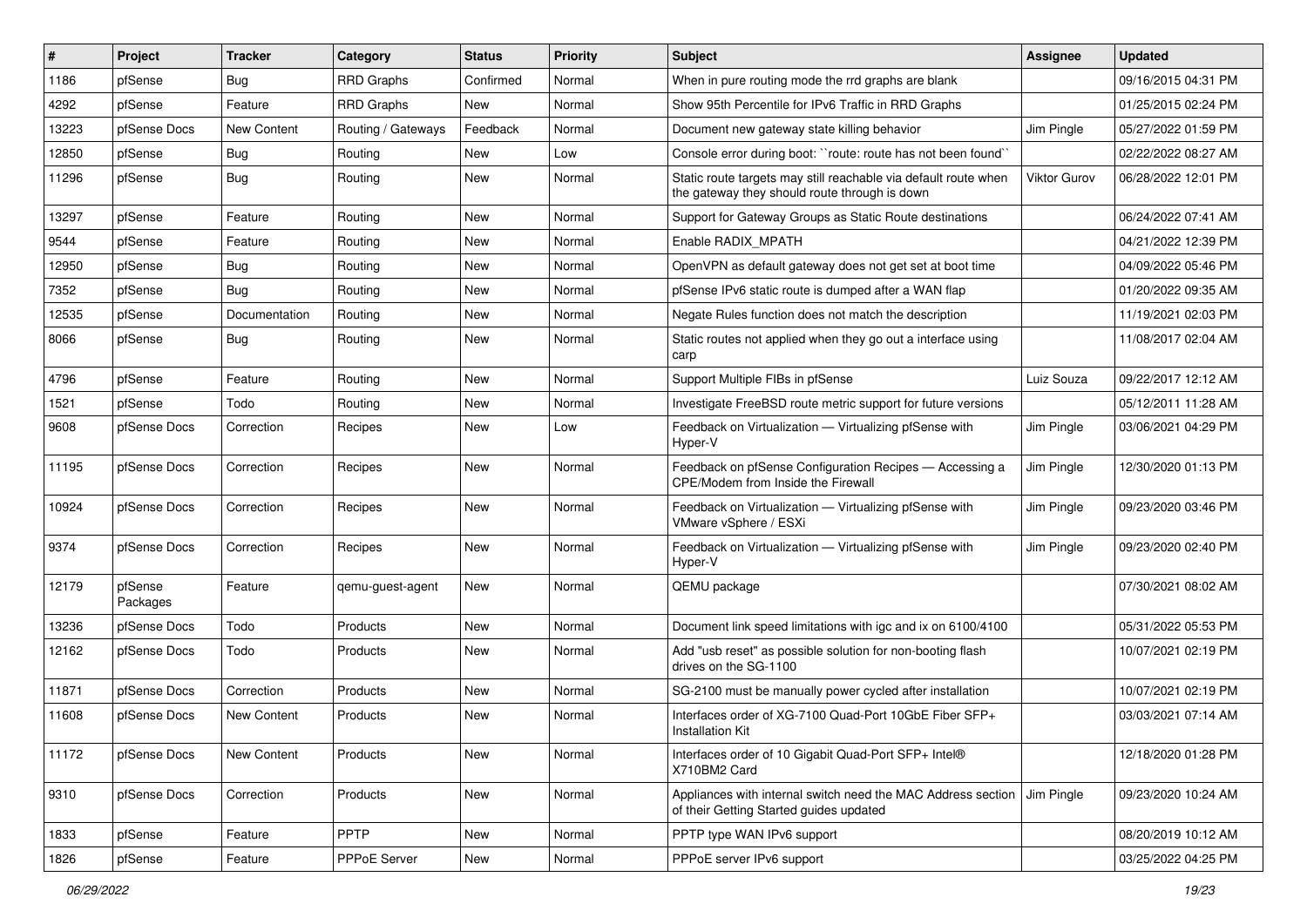| $\#$  | Project             | <b>Tracker</b> | Category           | <b>Status</b> | <b>Priority</b> | Subject                                                                                                          | <b>Assignee</b> | <b>Updated</b>      |
|-------|---------------------|----------------|--------------------|---------------|-----------------|------------------------------------------------------------------------------------------------------------------|-----------------|---------------------|
| 1186  | pfSense             | Bug            | <b>RRD Graphs</b>  | Confirmed     | Normal          | When in pure routing mode the rrd graphs are blank                                                               |                 | 09/16/2015 04:31 PM |
| 4292  | pfSense             | Feature        | <b>RRD Graphs</b>  | <b>New</b>    | Normal          | Show 95th Percentile for IPv6 Traffic in RRD Graphs                                                              |                 | 01/25/2015 02:24 PM |
| 13223 | pfSense Docs        | New Content    | Routing / Gateways | Feedback      | Normal          | Document new gateway state killing behavior                                                                      | Jim Pingle      | 05/27/2022 01:59 PM |
| 12850 | pfSense             | Bug            | Routing            | New           | Low             | Console error during boot: "route: route has not been found"                                                     |                 | 02/22/2022 08:27 AM |
| 11296 | pfSense             | Bug            | Routing            | <b>New</b>    | Normal          | Static route targets may still reachable via default route when<br>the gateway they should route through is down | Viktor Gurov    | 06/28/2022 12:01 PM |
| 13297 | pfSense             | Feature        | Routing            | New           | Normal          | Support for Gateway Groups as Static Route destinations                                                          |                 | 06/24/2022 07:41 AM |
| 9544  | pfSense             | Feature        | Routing            | New           | Normal          | Enable RADIX MPATH                                                                                               |                 | 04/21/2022 12:39 PM |
| 12950 | pfSense             | <b>Bug</b>     | Routing            | <b>New</b>    | Normal          | OpenVPN as default gateway does not get set at boot time                                                         |                 | 04/09/2022 05:46 PM |
| 7352  | pfSense             | Bug            | Routing            | New           | Normal          | pfSense IPv6 static route is dumped after a WAN flap                                                             |                 | 01/20/2022 09:35 AM |
| 12535 | pfSense             | Documentation  | Routing            | <b>New</b>    | Normal          | Negate Rules function does not match the description                                                             |                 | 11/19/2021 02:03 PM |
| 8066  | pfSense             | <b>Bug</b>     | Routing            | New           | Normal          | Static routes not applied when they go out a interface using<br>carp                                             |                 | 11/08/2017 02:04 AM |
| 4796  | pfSense             | Feature        | Routing            | New           | Normal          | Support Multiple FIBs in pfSense                                                                                 | Luiz Souza      | 09/22/2017 12:12 AM |
| 1521  | pfSense             | Todo           | Routing            | New           | Normal          | Investigate FreeBSD route metric support for future versions                                                     |                 | 05/12/2011 11:28 AM |
| 9608  | pfSense Docs        | Correction     | Recipes            | New           | Low             | Feedback on Virtualization - Virtualizing pfSense with<br>Hyper-V                                                | Jim Pingle      | 03/06/2021 04:29 PM |
| 11195 | pfSense Docs        | Correction     | Recipes            | New           | Normal          | Feedback on pfSense Configuration Recipes - Accessing a<br>CPE/Modem from Inside the Firewall                    | Jim Pingle      | 12/30/2020 01:13 PM |
| 10924 | pfSense Docs        | Correction     | Recipes            | New           | Normal          | Feedback on Virtualization - Virtualizing pfSense with<br>VMware vSphere / ESXi                                  | Jim Pingle      | 09/23/2020 03:46 PM |
| 9374  | pfSense Docs        | Correction     | Recipes            | New           | Normal          | Feedback on Virtualization - Virtualizing pfSense with<br>Hyper-V                                                | Jim Pingle      | 09/23/2020 02:40 PM |
| 12179 | pfSense<br>Packages | Feature        | qemu-guest-agent   | <b>New</b>    | Normal          | QEMU package                                                                                                     |                 | 07/30/2021 08:02 AM |
| 13236 | pfSense Docs        | Todo           | Products           | <b>New</b>    | Normal          | Document link speed limitations with igc and ix on 6100/4100                                                     |                 | 05/31/2022 05:53 PM |
| 12162 | pfSense Docs        | Todo           | Products           | New           | Normal          | Add "usb reset" as possible solution for non-booting flash<br>drives on the SG-1100                              |                 | 10/07/2021 02:19 PM |
| 11871 | pfSense Docs        | Correction     | Products           | New           | Normal          | SG-2100 must be manually power cycled after installation                                                         |                 | 10/07/2021 02:19 PM |
| 11608 | pfSense Docs        | New Content    | Products           | <b>New</b>    | Normal          | Interfaces order of XG-7100 Quad-Port 10GbE Fiber SFP+<br><b>Installation Kit</b>                                |                 | 03/03/2021 07:14 AM |
| 11172 | pfSense Docs        | New Content    | Products           | New           | Normal          | Interfaces order of 10 Gigabit Quad-Port SFP+ Intel®<br>X710BM2 Card                                             |                 | 12/18/2020 01:28 PM |
| 9310  | pfSense Docs        | Correction     | Products           | New           | Normal          | Appliances with internal switch need the MAC Address section<br>of their Getting Started guides updated          | Jim Pingle      | 09/23/2020 10:24 AM |
| 1833  | pfSense             | Feature        | <b>PPTP</b>        | New           | Normal          | PPTP type WAN IPv6 support                                                                                       |                 | 08/20/2019 10:12 AM |
| 1826  | pfSense             | Feature        | PPPoE Server       | New           | Normal          | PPPoE server IPv6 support                                                                                        |                 | 03/25/2022 04:25 PM |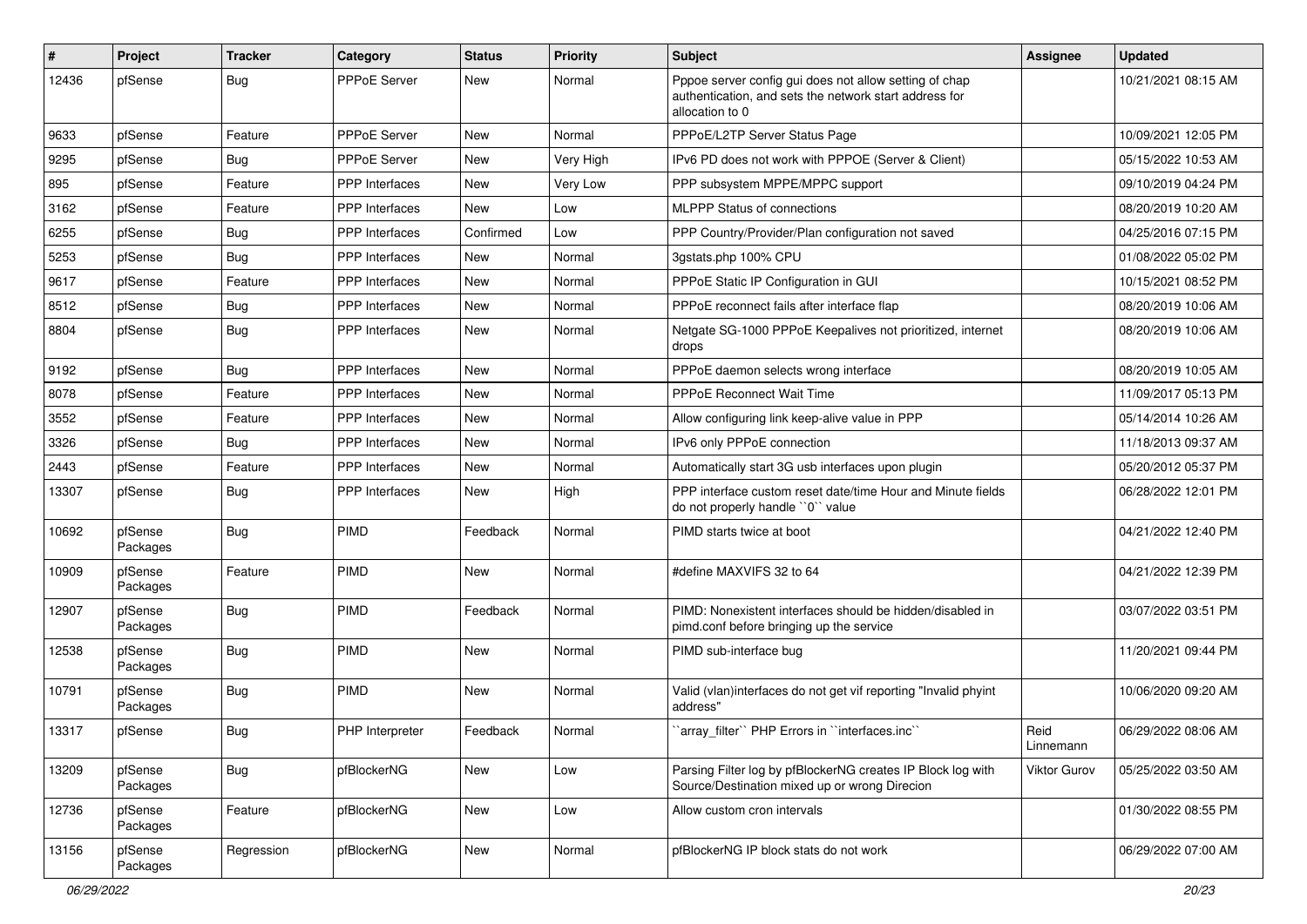| #     | Project             | <b>Tracker</b> | Category              | <b>Status</b> | <b>Priority</b> | <b>Subject</b>                                                                                                                      | Assignee            | <b>Updated</b>      |
|-------|---------------------|----------------|-----------------------|---------------|-----------------|-------------------------------------------------------------------------------------------------------------------------------------|---------------------|---------------------|
| 12436 | pfSense             | Bug            | <b>PPPoE Server</b>   | New           | Normal          | Pppoe server config gui does not allow setting of chap<br>authentication, and sets the network start address for<br>allocation to 0 |                     | 10/21/2021 08:15 AM |
| 9633  | pfSense             | Feature        | <b>PPPoE Server</b>   | New           | Normal          | PPPoE/L2TP Server Status Page                                                                                                       |                     | 10/09/2021 12:05 PM |
| 9295  | pfSense             | Bug            | <b>PPPoE Server</b>   | <b>New</b>    | Very High       | IPv6 PD does not work with PPPOE (Server & Client)                                                                                  |                     | 05/15/2022 10:53 AM |
| 895   | pfSense             | Feature        | <b>PPP</b> Interfaces | New           | Very Low        | PPP subsystem MPPE/MPPC support                                                                                                     |                     | 09/10/2019 04:24 PM |
| 3162  | pfSense             | Feature        | <b>PPP</b> Interfaces | New           | Low             | <b>MLPPP Status of connections</b>                                                                                                  |                     | 08/20/2019 10:20 AM |
| 6255  | pfSense             | Bug            | PPP Interfaces        | Confirmed     | Low             | PPP Country/Provider/Plan configuration not saved                                                                                   |                     | 04/25/2016 07:15 PM |
| 5253  | pfSense             | Bug            | <b>PPP</b> Interfaces | New           | Normal          | 3gstats.php 100% CPU                                                                                                                |                     | 01/08/2022 05:02 PM |
| 9617  | pfSense             | Feature        | PPP Interfaces        | New           | Normal          | PPPoE Static IP Configuration in GUI                                                                                                |                     | 10/15/2021 08:52 PM |
| 8512  | pfSense             | Bug            | <b>PPP</b> Interfaces | New           | Normal          | PPPoE reconnect fails after interface flap                                                                                          |                     | 08/20/2019 10:06 AM |
| 8804  | pfSense             | Bug            | <b>PPP</b> Interfaces | New           | Normal          | Netgate SG-1000 PPPoE Keepalives not prioritized, internet<br>drops                                                                 |                     | 08/20/2019 10:06 AM |
| 9192  | pfSense             | Bug            | PPP Interfaces        | New           | Normal          | PPPoE daemon selects wrong interface                                                                                                |                     | 08/20/2019 10:05 AM |
| 8078  | pfSense             | Feature        | <b>PPP</b> Interfaces | New           | Normal          | <b>PPPoE Reconnect Wait Time</b>                                                                                                    |                     | 11/09/2017 05:13 PM |
| 3552  | pfSense             | Feature        | PPP Interfaces        | New           | Normal          | Allow configuring link keep-alive value in PPP                                                                                      |                     | 05/14/2014 10:26 AM |
| 3326  | pfSense             | Bug            | PPP Interfaces        | New           | Normal          | IPv6 only PPPoE connection                                                                                                          |                     | 11/18/2013 09:37 AM |
| 2443  | pfSense             | Feature        | PPP Interfaces        | <b>New</b>    | Normal          | Automatically start 3G usb interfaces upon plugin                                                                                   |                     | 05/20/2012 05:37 PM |
| 13307 | pfSense             | Bug            | <b>PPP</b> Interfaces | New           | High            | PPP interface custom reset date/time Hour and Minute fields<br>do not properly handle "0" value                                     |                     | 06/28/2022 12:01 PM |
| 10692 | pfSense<br>Packages | <b>Bug</b>     | PIMD                  | Feedback      | Normal          | PIMD starts twice at boot                                                                                                           |                     | 04/21/2022 12:40 PM |
| 10909 | pfSense<br>Packages | Feature        | PIMD                  | New           | Normal          | #define MAXVIFS 32 to 64                                                                                                            |                     | 04/21/2022 12:39 PM |
| 12907 | pfSense<br>Packages | Bug            | <b>PIMD</b>           | Feedback      | Normal          | PIMD: Nonexistent interfaces should be hidden/disabled in<br>pimd.conf before bringing up the service                               |                     | 03/07/2022 03:51 PM |
| 12538 | pfSense<br>Packages | Bug            | <b>PIMD</b>           | New           | Normal          | PIMD sub-interface bug                                                                                                              |                     | 11/20/2021 09:44 PM |
| 10791 | pfSense<br>Packages | Bug            | PIMD                  | <b>New</b>    | Normal          | Valid (vlan)interfaces do not get vif reporting "Invalid phyint<br>address"                                                         |                     | 10/06/2020 09:20 AM |
| 13317 | pfSense             | Bug            | PHP Interpreter       | Feedback      | Normal          | `array_filter`` PHP Errors in ``interfaces.inc``                                                                                    | Reid<br>Linnemann   | 06/29/2022 08:06 AM |
| 13209 | pfSense<br>Packages | <b>Bug</b>     | pfBlockerNG           | New           | Low             | Parsing Filter log by pfBlockerNG creates IP Block log with<br>Source/Destination mixed up or wrong Direcion                        | <b>Viktor Gurov</b> | 05/25/2022 03:50 AM |
| 12736 | pfSense<br>Packages | Feature        | pfBlockerNG           | New           | Low             | Allow custom cron intervals                                                                                                         |                     | 01/30/2022 08:55 PM |
| 13156 | pfSense<br>Packages | Regression     | pfBlockerNG           | New           | Normal          | pfBlockerNG IP block stats do not work                                                                                              |                     | 06/29/2022 07:00 AM |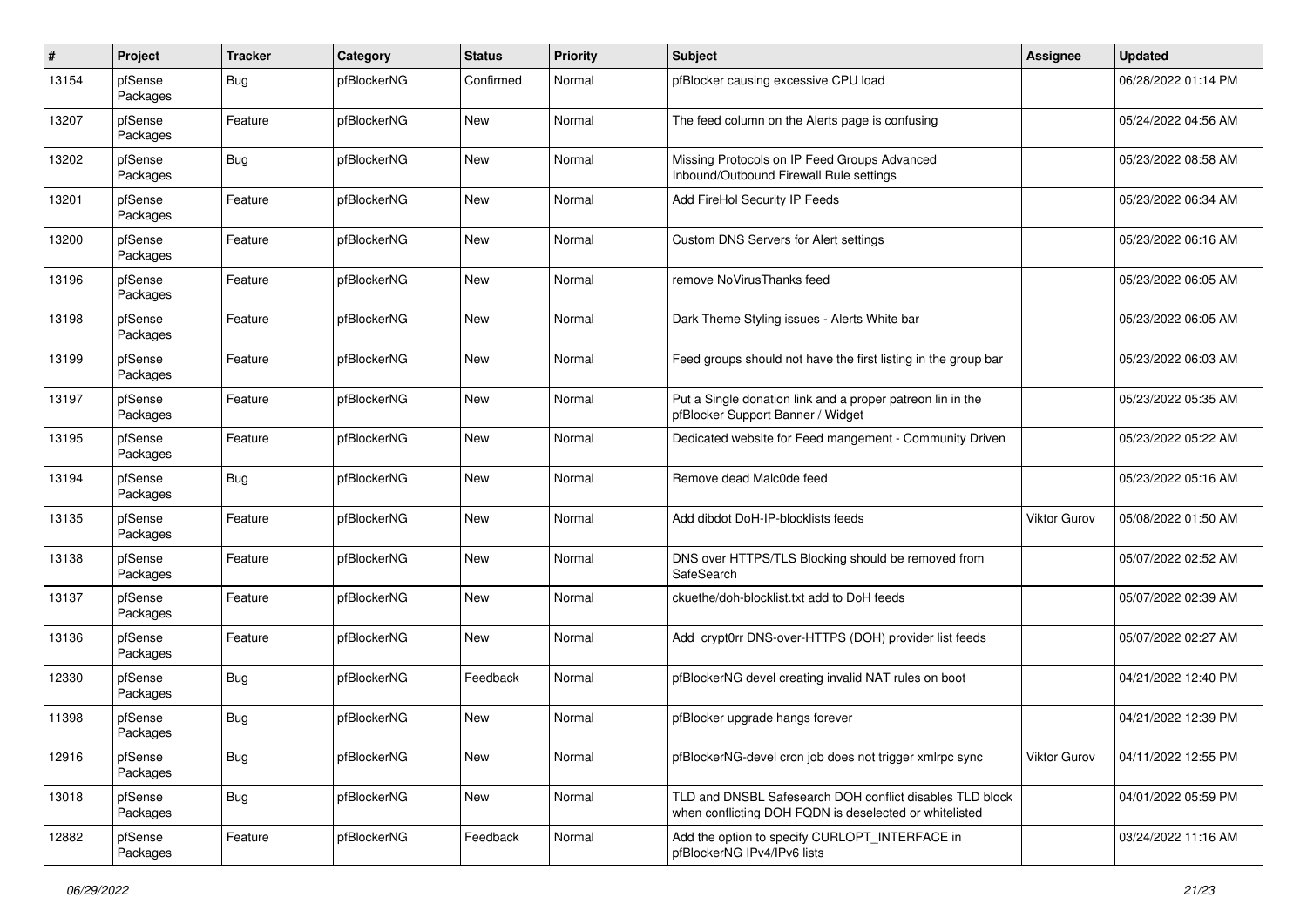| $\pmb{\#}$ | Project             | <b>Tracker</b> | Category    | <b>Status</b> | <b>Priority</b> | <b>Subject</b>                                                                                                     | Assignee            | <b>Updated</b>      |
|------------|---------------------|----------------|-------------|---------------|-----------------|--------------------------------------------------------------------------------------------------------------------|---------------------|---------------------|
| 13154      | pfSense<br>Packages | <b>Bug</b>     | pfBlockerNG | Confirmed     | Normal          | pfBlocker causing excessive CPU load                                                                               |                     | 06/28/2022 01:14 PM |
| 13207      | pfSense<br>Packages | Feature        | pfBlockerNG | New           | Normal          | The feed column on the Alerts page is confusing                                                                    |                     | 05/24/2022 04:56 AM |
| 13202      | pfSense<br>Packages | <b>Bug</b>     | pfBlockerNG | <b>New</b>    | Normal          | Missing Protocols on IP Feed Groups Advanced<br>Inbound/Outbound Firewall Rule settings                            |                     | 05/23/2022 08:58 AM |
| 13201      | pfSense<br>Packages | Feature        | pfBlockerNG | New           | Normal          | Add FireHol Security IP Feeds                                                                                      |                     | 05/23/2022 06:34 AM |
| 13200      | pfSense<br>Packages | Feature        | pfBlockerNG | <b>New</b>    | Normal          | Custom DNS Servers for Alert settings                                                                              |                     | 05/23/2022 06:16 AM |
| 13196      | pfSense<br>Packages | Feature        | pfBlockerNG | <b>New</b>    | Normal          | remove NoVirusThanks feed                                                                                          |                     | 05/23/2022 06:05 AM |
| 13198      | pfSense<br>Packages | Feature        | pfBlockerNG | New           | Normal          | Dark Theme Styling issues - Alerts White bar                                                                       |                     | 05/23/2022 06:05 AM |
| 13199      | pfSense<br>Packages | Feature        | pfBlockerNG | New           | Normal          | Feed groups should not have the first listing in the group bar                                                     |                     | 05/23/2022 06:03 AM |
| 13197      | pfSense<br>Packages | Feature        | pfBlockerNG | New           | Normal          | Put a Single donation link and a proper patreon lin in the<br>pfBlocker Support Banner / Widget                    |                     | 05/23/2022 05:35 AM |
| 13195      | pfSense<br>Packages | Feature        | pfBlockerNG | <b>New</b>    | Normal          | Dedicated website for Feed mangement - Community Driven                                                            |                     | 05/23/2022 05:22 AM |
| 13194      | pfSense<br>Packages | Bug            | pfBlockerNG | New           | Normal          | Remove dead Malc0de feed                                                                                           |                     | 05/23/2022 05:16 AM |
| 13135      | pfSense<br>Packages | Feature        | pfBlockerNG | New           | Normal          | Add dibdot DoH-IP-blocklists feeds                                                                                 | <b>Viktor Gurov</b> | 05/08/2022 01:50 AM |
| 13138      | pfSense<br>Packages | Feature        | pfBlockerNG | New           | Normal          | DNS over HTTPS/TLS Blocking should be removed from<br>SafeSearch                                                   |                     | 05/07/2022 02:52 AM |
| 13137      | pfSense<br>Packages | Feature        | pfBlockerNG | <b>New</b>    | Normal          | ckuethe/doh-blocklist.txt add to DoH feeds                                                                         |                     | 05/07/2022 02:39 AM |
| 13136      | pfSense<br>Packages | Feature        | pfBlockerNG | New           | Normal          | Add crypt0rr DNS-over-HTTPS (DOH) provider list feeds                                                              |                     | 05/07/2022 02:27 AM |
| 12330      | pfSense<br>Packages | Bug            | pfBlockerNG | Feedback      | Normal          | pfBlockerNG devel creating invalid NAT rules on boot                                                               |                     | 04/21/2022 12:40 PM |
| 11398      | pfSense<br>Packages | <b>Bug</b>     | pfBlockerNG | <b>New</b>    | Normal          | pfBlocker upgrade hangs forever                                                                                    |                     | 04/21/2022 12:39 PM |
| 12916      | pfSense<br>Packages | Bug            | pfBlockerNG | New           | Normal          | pfBlockerNG-devel cron job does not trigger xmlrpc sync                                                            | <b>Viktor Gurov</b> | 04/11/2022 12:55 PM |
| 13018      | pfSense<br>Packages | Bug            | pfBlockerNG | <b>New</b>    | Normal          | TLD and DNSBL Safesearch DOH conflict disables TLD block<br>when conflicting DOH FQDN is deselected or whitelisted |                     | 04/01/2022 05:59 PM |
| 12882      | pfSense<br>Packages | Feature        | pfBlockerNG | Feedback      | Normal          | Add the option to specify CURLOPT INTERFACE in<br>pfBlockerNG IPv4/IPv6 lists                                      |                     | 03/24/2022 11:16 AM |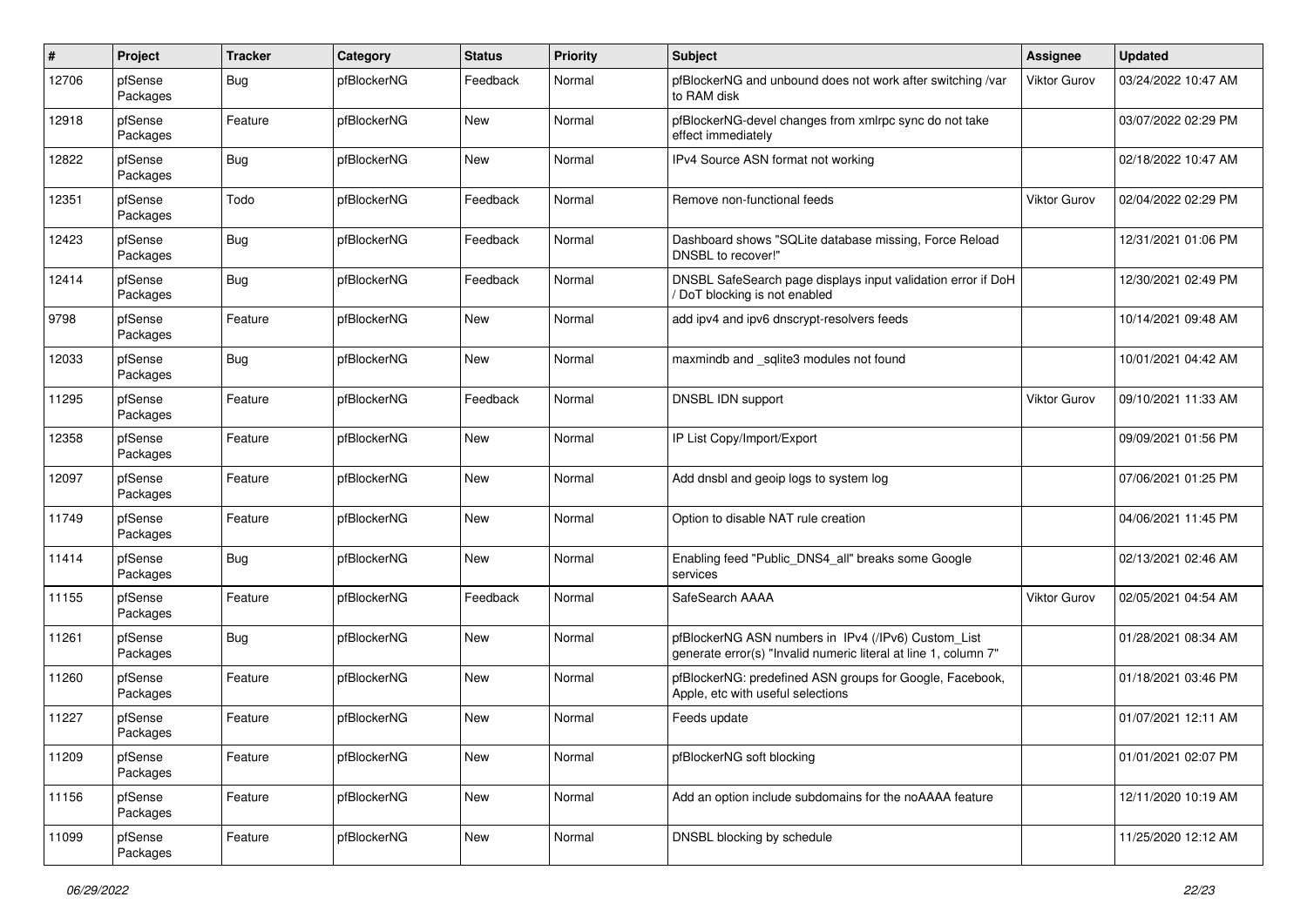| $\#$  | Project             | <b>Tracker</b> | Category    | <b>Status</b> | <b>Priority</b> | <b>Subject</b>                                                                                                         | Assignee            | <b>Updated</b>      |
|-------|---------------------|----------------|-------------|---------------|-----------------|------------------------------------------------------------------------------------------------------------------------|---------------------|---------------------|
| 12706 | pfSense<br>Packages | Bug            | pfBlockerNG | Feedback      | Normal          | pfBlockerNG and unbound does not work after switching /var<br>to RAM disk                                              | Viktor Gurov        | 03/24/2022 10:47 AM |
| 12918 | pfSense<br>Packages | Feature        | pfBlockerNG | New           | Normal          | pfBlockerNG-devel changes from xmlrpc sync do not take<br>effect immediately                                           |                     | 03/07/2022 02:29 PM |
| 12822 | pfSense<br>Packages | <b>Bug</b>     | pfBlockerNG | New           | Normal          | IPv4 Source ASN format not working                                                                                     |                     | 02/18/2022 10:47 AM |
| 12351 | pfSense<br>Packages | Todo           | pfBlockerNG | Feedback      | Normal          | Remove non-functional feeds                                                                                            | <b>Viktor Gurov</b> | 02/04/2022 02:29 PM |
| 12423 | pfSense<br>Packages | <b>Bug</b>     | pfBlockerNG | Feedback      | Normal          | Dashboard shows "SQLite database missing, Force Reload<br>DNSBL to recover!'                                           |                     | 12/31/2021 01:06 PM |
| 12414 | pfSense<br>Packages | <b>Bug</b>     | pfBlockerNG | Feedback      | Normal          | DNSBL SafeSearch page displays input validation error if DoH<br>DoT blocking is not enabled                            |                     | 12/30/2021 02:49 PM |
| 9798  | pfSense<br>Packages | Feature        | pfBlockerNG | New           | Normal          | add ipv4 and ipv6 dnscrypt-resolvers feeds                                                                             |                     | 10/14/2021 09:48 AM |
| 12033 | pfSense<br>Packages | <b>Bug</b>     | pfBlockerNG | New           | Normal          | maxmindb and _sqlite3 modules not found                                                                                |                     | 10/01/2021 04:42 AM |
| 11295 | pfSense<br>Packages | Feature        | pfBlockerNG | Feedback      | Normal          | DNSBL IDN support                                                                                                      | Viktor Gurov        | 09/10/2021 11:33 AM |
| 12358 | pfSense<br>Packages | Feature        | pfBlockerNG | New           | Normal          | IP List Copy/Import/Export                                                                                             |                     | 09/09/2021 01:56 PM |
| 12097 | pfSense<br>Packages | Feature        | pfBlockerNG | New           | Normal          | Add dnsbl and geoip logs to system log                                                                                 |                     | 07/06/2021 01:25 PM |
| 11749 | pfSense<br>Packages | Feature        | pfBlockerNG | New           | Normal          | Option to disable NAT rule creation                                                                                    |                     | 04/06/2021 11:45 PM |
| 11414 | pfSense<br>Packages | <b>Bug</b>     | pfBlockerNG | New           | Normal          | Enabling feed "Public DNS4 all" breaks some Google<br>services                                                         |                     | 02/13/2021 02:46 AM |
| 11155 | pfSense<br>Packages | Feature        | pfBlockerNG | Feedback      | Normal          | SafeSearch AAAA                                                                                                        | <b>Viktor Gurov</b> | 02/05/2021 04:54 AM |
| 11261 | pfSense<br>Packages | Bug            | pfBlockerNG | New           | Normal          | pfBlockerNG ASN numbers in IPv4 (/IPv6) Custom_List<br>generate error(s) "Invalid numeric literal at line 1, column 7" |                     | 01/28/2021 08:34 AM |
| 11260 | pfSense<br>Packages | Feature        | pfBlockerNG | New           | Normal          | pfBlockerNG: predefined ASN groups for Google, Facebook,<br>Apple, etc with useful selections                          |                     | 01/18/2021 03:46 PM |
| 11227 | pfSense<br>Packages | Feature        | pfBlockerNG | New           | Normal          | Feeds update                                                                                                           |                     | 01/07/2021 12:11 AM |
| 11209 | pfSense<br>Packages | Feature        | pfBlockerNG | New           | Normal          | pfBlockerNG soft blocking                                                                                              |                     | 01/01/2021 02:07 PM |
| 11156 | pfSense<br>Packages | Feature        | pfBlockerNG | New           | Normal          | Add an option include subdomains for the noAAAA feature                                                                |                     | 12/11/2020 10:19 AM |
| 11099 | pfSense<br>Packages | Feature        | pfBlockerNG | New           | Normal          | DNSBL blocking by schedule                                                                                             |                     | 11/25/2020 12:12 AM |